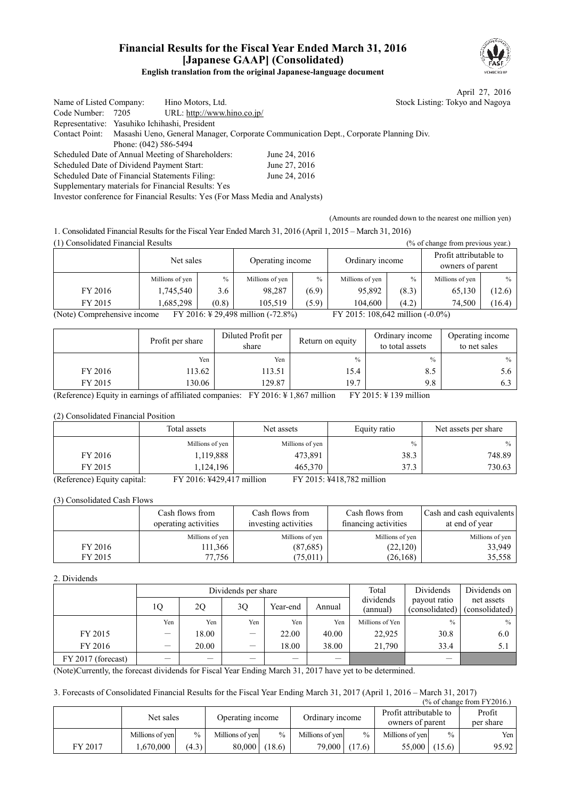### **Financial Results for the Fiscal Year Ended March 31, 2016 [Japanese GAAP] (Consolidated) English translation from the original Japanese-language document**



April 27, 2016 ing: Tokyo and Nagoya

| Name of Listed Company:                        |                       | Hino Motors, Ltd.                                                            |                                                                                                      | <b>Stock Listi</b> |
|------------------------------------------------|-----------------------|------------------------------------------------------------------------------|------------------------------------------------------------------------------------------------------|--------------------|
| Code Number: 7205                              |                       | URL: http://www.hino.co.jp/                                                  |                                                                                                      |                    |
| Representative: Yasuhiko Ichihashi, President  |                       |                                                                              |                                                                                                      |                    |
|                                                |                       |                                                                              | Contact Point: Masashi Ueno, General Manager, Corporate Communication Dept., Corporate Planning Div. |                    |
|                                                | Phone: (042) 586-5494 |                                                                              |                                                                                                      |                    |
|                                                |                       | Scheduled Date of Annual Meeting of Shareholders:                            | June 24, 2016                                                                                        |                    |
| Scheduled Date of Dividend Payment Start:      |                       |                                                                              | June 27, 2016                                                                                        |                    |
| Scheduled Date of Financial Statements Filing: |                       |                                                                              | June 24, 2016                                                                                        |                    |
|                                                |                       | Supplementary materials for Financial Results: Yes                           |                                                                                                      |                    |
|                                                |                       | Investor conference for Financial Results: Yes (For Mass Media and Analysts) |                                                                                                      |                    |

(Amounts are rounded down to the nearest one million yen)

1. Consolidated Financial Results for the Fiscal Year Ended March 31, 2016 (April 1, 2015 – March 31, 2016) (1) Consolidated Financial Results (% of change from previous year.)

| 17 Consonuateu i mancial Results<br>70 OI GRAHE HUILDIG PLUMOUS YUALD                                       |                 |       |                  |       |                 |       |                                            |               |  |
|-------------------------------------------------------------------------------------------------------------|-----------------|-------|------------------|-------|-----------------|-------|--------------------------------------------|---------------|--|
|                                                                                                             | Net sales       |       | Operating income |       | Ordinary income |       | Profit attributable to<br>owners of parent |               |  |
|                                                                                                             | Millions of yen | $\%$  | Millions of yen  | $\%$  | Millions of yen | $\%$  | Millions of yen                            | $\frac{0}{0}$ |  |
| FY 2016                                                                                                     | 1,745,540       | 3.6   | 98,287           | (6.9) | 95,892          | (8.3) | 65,130                                     | (12.6)        |  |
| FY 2015                                                                                                     | 1.685.298       | (0.8) | 105.519          | (5.9) | 104.600         | (4.2) | 74.500                                     | (16.4)        |  |
| (Note) Comprehensive income<br>FY 2016: ¥ 29,498 million $(-72.8\%)$<br>FY 2015: 108,642 million $(-0.0\%)$ |                 |       |                  |       |                 |       |                                            |               |  |

|         | Profit per share | Diluted Profit per<br>share | Return on equity | Ordinary income<br>to total assets | Operating income<br>to net sales |
|---------|------------------|-----------------------------|------------------|------------------------------------|----------------------------------|
|         | Yen              | Yen                         | $\frac{0}{0}$    | $\frac{0}{0}$                      | $\%$                             |
| FY 2016 | 113.62           | 113.51                      | 15.4             | 8.5                                | 5.6                              |
| FY 2015 | 130.06           | 129.87                      | 19.7             | 9.8                                | 6.3                              |

(Reference) Equity in earnings of affiliated companies: FY 2016:  $\frac{1}{4}$  1,867 million FY 2015:  $\frac{1}{4}$  139 million

(2) Consolidated Financial Position

|                                            | Total assets                  | Net assets      | Equity ratio                 | Net assets per share |
|--------------------------------------------|-------------------------------|-----------------|------------------------------|----------------------|
|                                            | Millions of yen               | Millions of yen | $\frac{0}{0}$                | $\%$                 |
| FY 2016                                    | 1,119,888                     | 473,891         | 38.3                         | 748.89               |
| FY 2015                                    | 1.124.196                     | 465,370         | 37.3                         | 730.63               |
| $(Dofanana)$ $Eon$ <sub>it</sub> $conitel$ | $E V 2016. V 420.417$ million |                 | $E V 2015. V410.702$ million |                      |

(Reference) Equity capital: FY 2016: ¥429,417 million FY 2015: ¥418,782 million

(3) Consolidated Cash Flows

|         | Cash flows from<br>operating activities | Cash flows from<br>investing activities | Cash flows from<br>financing activities | Cash and cash equivalents<br>at end of year |
|---------|-----------------------------------------|-----------------------------------------|-----------------------------------------|---------------------------------------------|
|         | Millions of yen                         | Millions of yen                         | Millions of yen                         | Millions of yen                             |
| FY 2016 | 111,366                                 | (87,685)                                | (22, 120)                               | 33.949                                      |
| FY 2015 | 77.756                                  | (75, 011)                               | (26, 168)                               | 35,558                                      |

### 2. Dividends

|                    |                                 |                          | Dividends per share               | Total    | Dividends | Dividends on          |                                |                              |
|--------------------|---------------------------------|--------------------------|-----------------------------------|----------|-----------|-----------------------|--------------------------------|------------------------------|
|                    | 10                              | 20                       | 3 <sub>O</sub>                    | Year-end | Annual    | dividends<br>(annual) | payout ratio<br>(consolidated) | net assets<br>(consolidated) |
|                    | Yen                             | Yen                      | Yen                               | Yen      | Yen       | Millions of Yen       | $\frac{0}{0}$                  | $\frac{0}{0}$                |
| FY 2015            | $\hspace{0.1mm}-\hspace{0.1mm}$ | 18.00                    | $\overbrace{\phantom{123221111}}$ | 22.00    | 40.00     | 22.925                | 30.8                           | 6.0                          |
| FY 2016            | $\hspace{0.1mm}-\hspace{0.1mm}$ | 20.00                    | $\overline{\phantom{0}}$          | 18.00    | 38.00     | 21,790                | 33.4                           | 5.1                          |
| FY 2017 (forecast) |                                 | $\overline{\phantom{a}}$ | –                                 |          |           |                       |                                |                              |

(Note)Currently, the forecast dividends for Fiscal Year Ending March 31, 2017 have yet to be determined.

3. Forecasts of Consolidated Financial Results for the Fiscal Year Ending March 31, 2017 (April 1, 2016 – March 31, 2017)  $(% \text{ of change from FY2016.})$ 

|         | Net sales       |               | Operating income |               | Ordinary income |        | Profit attributable to<br>owners of parent |               | Profit<br>per share |
|---------|-----------------|---------------|------------------|---------------|-----------------|--------|--------------------------------------------|---------------|---------------------|
|         | Millions of yen | $\frac{0}{0}$ | Millions of ven  | $\frac{0}{0}$ | Millions of yen | $\%$   | Millions of yen                            | $\frac{0}{0}$ | Yen I               |
| FY 2017 | .670.000        | (4.3)         | 80,000           | (18.6)        | 79,000          | (17.6) | 55,000                                     | (15.6)        | 95.92               |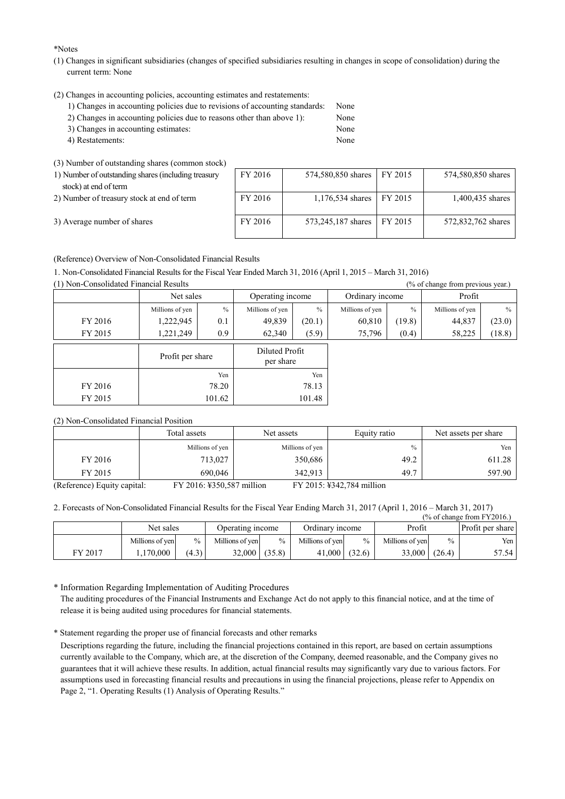\*Notes

- (1) Changes in significant subsidiaries (changes of specified subsidiaries resulting in changes in scope of consolidation) during the current term: None
- (2) Changes in accounting policies, accounting estimates and restatements:
	- 1) Changes in accounting policies due to revisions of accounting standards: None
	- 2) Changes in accounting policies due to reasons other than above 1): None
	- 3) Changes in accounting estimates: None 4) Restatements: None
	-

(3) Number of outstanding shares (common stock)

| 1) Number of outstanding shares (including treasury | F |
|-----------------------------------------------------|---|
| stock) at end of term                               |   |

|  | 3) Average number of shares |
|--|-----------------------------|

| $\sim$ , $\sim$ , $\sim$ , $\sim$ , $\sim$ , $\sim$ , $\sim$ , $\sim$ , $\sim$ , $\sim$ , $\sim$ , $\sim$ , $\sim$ , $\sim$ , $\sim$ |         |                            |                    |
|--------------------------------------------------------------------------------------------------------------------------------------|---------|----------------------------|--------------------|
| 1) Number of outstanding shares (including treasury                                                                                  | FY 2016 | 574,580,850 shares FY 2015 | 574,580,850 shares |
| stock) at end of term                                                                                                                |         |                            |                    |
| 2) Number of treasury stock at end of term                                                                                           | FY 2016 | 1,176,534 shares FY 2015   | 1,400,435 shares   |
| 3) Average number of shares                                                                                                          | FY 2016 | 573,245,187 shares FY 2015 | 572,832,762 shares |

(Reference) Overview of Non-Consolidated Financial Results

1. Non-Consolidated Financial Results for the Fiscal Year Ended March 31, 2016 (April 1, 2015 – March 31, 2016)

(1) Non-Consolidated Financial Results (% of change from previous year.)

| $(1)$ . The componented I manefall resource |                  |        |                             |        |                 | $170$ of change from previous vear. |                 |        |
|---------------------------------------------|------------------|--------|-----------------------------|--------|-----------------|-------------------------------------|-----------------|--------|
|                                             | Net sales        |        | Operating income            |        | Ordinary income |                                     | Profit          |        |
|                                             | Millions of yen  | $\%$   | $\%$<br>Millions of yen     |        | Millions of yen | $\%$                                | Millions of yen | $\%$   |
| FY 2016                                     | 1,222,945        | 0.1    | 49,839                      | (20.1) | 60,810          | (19.8)                              | 44,837          | (23.0) |
| FY 2015                                     | 1,221,249        | 0.9    | 62,340                      | (5.9)  | 75,796          | (0.4)                               | 58,225          | (18.8) |
|                                             | Profit per share |        | Diluted Profit<br>per share |        |                 |                                     |                 |        |
|                                             |                  | Yen    | Yen                         |        |                 |                                     |                 |        |
| FY 2016                                     |                  | 78.20  | 78.13                       |        |                 |                                     |                 |        |
| FY 2015                                     |                  | 101.62 | 101.48                      |        |                 |                                     |                 |        |

(2) Non-Consolidated Financial Position

|                             | Total assets              | Net assets      | Equity ratio              | Net assets per share |
|-----------------------------|---------------------------|-----------------|---------------------------|----------------------|
|                             | Millions of yen           | Millions of yen | $\frac{0}{0}$             | Yen                  |
| FY 2016                     | 713,027                   | 350,686         | 49.2                      | 611.28               |
| FY 2015                     | 690,046                   | 342.913         | 49.7                      | 597.90               |
| (Reference) Equity capital: | FY 2016: ¥350,587 million |                 | FY 2015: ¥342,784 million |                      |

2. Forecasts of Non-Consolidated Financial Results for the Fiscal Year Ending March 31, 2017 (April 1, 2016 – March 31, 2017)

| $\frac{6}{6}$ of change from FY2016.) |                 |               |                  |                 |                 |               |                 |        |                  |
|---------------------------------------|-----------------|---------------|------------------|-----------------|-----------------|---------------|-----------------|--------|------------------|
|                                       | Net sales       |               | Operating income |                 | Ordinary income |               | Profit          |        | Profit per share |
|                                       | Millions of yen | $\frac{0}{0}$ | Millions of yen  | $\frac{0}{0}$   | Millions of yen | $\frac{0}{0}$ | Millions of yen | $\%$   | Yen              |
| FY 2017                               | 1.170.000       | (4.3)         |                  | $32,000$ (35.8) | 41,000          | (32.6)        | 33,000          | (26.4) | 57.54            |

\* Information Regarding Implementation of Auditing Procedures The auditing procedures of the Financial Instruments and Exchange Act do not apply to this financial notice, and at the time of release it is being audited using procedures for financial statements.

\* Statement regarding the proper use of financial forecasts and other remarks

Descriptions regarding the future, including the financial projections contained in this report, are based on certain assumptions currently available to the Company, which are, at the discretion of the Company, deemed reasonable, and the Company gives no guarantees that it will achieve these results. In addition, actual financial results may significantly vary due to various factors. For assumptions used in forecasting financial results and precautions in using the financial projections, please refer to Appendix on Page 2, "1. Operating Results (1) Analysis of Operating Results."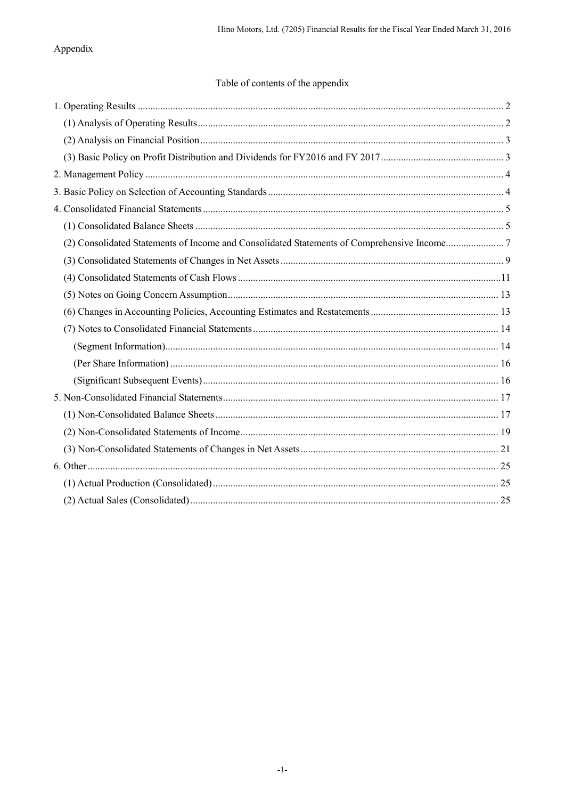# Appendix

# Table of contents of the appendix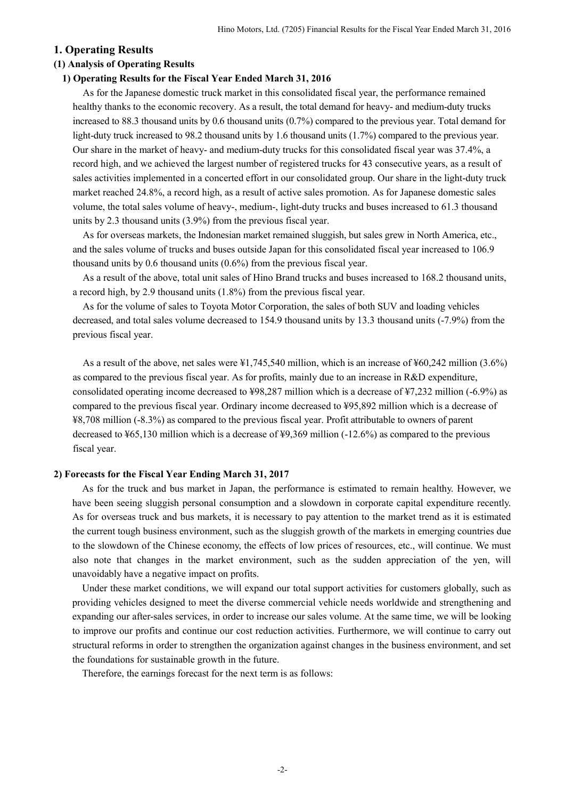### **1. Operating Results**

### **(1) Analysis of Operating Results**

### **1) Operating Results for the Fiscal Year Ended March 31, 2016**

As for the Japanese domestic truck market in this consolidated fiscal year, the performance remained healthy thanks to the economic recovery. As a result, the total demand for heavy- and medium-duty trucks increased to 88.3 thousand units by 0.6 thousand units (0.7%) compared to the previous year. Total demand for light-duty truck increased to 98.2 thousand units by 1.6 thousand units (1.7%) compared to the previous year. Our share in the market of heavy- and medium-duty trucks for this consolidated fiscal year was 37.4%, a record high, and we achieved the largest number of registered trucks for 43 consecutive years, as a result of sales activities implemented in a concerted effort in our consolidated group. Our share in the light-duty truck market reached 24.8%, a record high, as a result of active sales promotion. As for Japanese domestic sales volume, the total sales volume of heavy-, medium-, light-duty trucks and buses increased to 61.3 thousand units by 2.3 thousand units (3.9%) from the previous fiscal year.

As for overseas markets, the Indonesian market remained sluggish, but sales grew in North America, etc., and the sales volume of trucks and buses outside Japan for this consolidated fiscal year increased to 106.9 thousand units by 0.6 thousand units (0.6%) from the previous fiscal year.

As a result of the above, total unit sales of Hino Brand trucks and buses increased to 168.2 thousand units, a record high, by 2.9 thousand units (1.8%) from the previous fiscal year.

As for the volume of sales to Toyota Motor Corporation, the sales of both SUV and loading vehicles decreased, and total sales volume decreased to 154.9 thousand units by 13.3 thousand units (-7.9%) from the previous fiscal year.

As a result of the above, net sales were ¥1,745,540 million, which is an increase of ¥60,242 million (3.6%) as compared to the previous fiscal year. As for profits, mainly due to an increase in R&D expenditure, consolidated operating income decreased to ¥98,287 million which is a decrease of ¥7,232 million (-6.9%) as compared to the previous fiscal year. Ordinary income decreased to ¥95,892 million which is a decrease of ¥8,708 million (-8.3%) as compared to the previous fiscal year. Profit attributable to owners of parent decreased to ¥65,130 million which is a decrease of ¥9,369 million (-12.6%) as compared to the previous fiscal year.

#### **2) Forecasts for the Fiscal Year Ending March 31, 2017**

As for the truck and bus market in Japan, the performance is estimated to remain healthy. However, we have been seeing sluggish personal consumption and a slowdown in corporate capital expenditure recently. As for overseas truck and bus markets, it is necessary to pay attention to the market trend as it is estimated the current tough business environment, such as the sluggish growth of the markets in emerging countries due to the slowdown of the Chinese economy, the effects of low prices of resources, etc., will continue. We must also note that changes in the market environment, such as the sudden appreciation of the yen, will unavoidably have a negative impact on profits.

Under these market conditions, we will expand our total support activities for customers globally, such as providing vehicles designed to meet the diverse commercial vehicle needs worldwide and strengthening and expanding our after-sales services, in order to increase our sales volume. At the same time, we will be looking to improve our profits and continue our cost reduction activities. Furthermore, we will continue to carry out structural reforms in order to strengthen the organization against changes in the business environment, and set the foundations for sustainable growth in the future.

Therefore, the earnings forecast for the next term is as follows: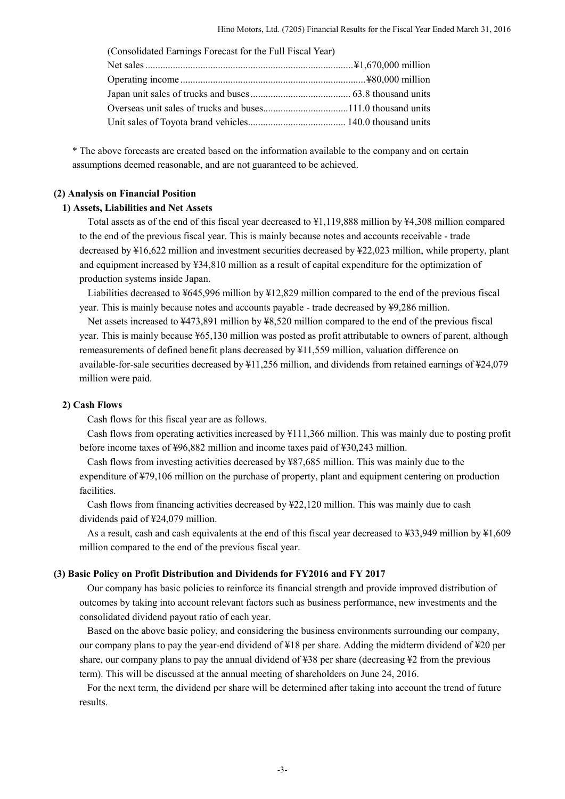| (Consolidated Earnings Forecast for the Full Fiscal Year) |  |
|-----------------------------------------------------------|--|
|                                                           |  |
|                                                           |  |
|                                                           |  |
|                                                           |  |
|                                                           |  |

\* The above forecasts are created based on the information available to the company and on certain assumptions deemed reasonable, and are not guaranteed to be achieved.

#### **(2) Analysis on Financial Position**

#### **1) Assets, Liabilities and Net Assets**

Total assets as of the end of this fiscal year decreased to ¥1,119,888 million by ¥4,308 million compared to the end of the previous fiscal year. This is mainly because notes and accounts receivable - trade decreased by ¥16,622 million and investment securities decreased by ¥22,023 million, while property, plant and equipment increased by ¥34,810 million as a result of capital expenditure for the optimization of production systems inside Japan.

Liabilities decreased to ¥645,996 million by ¥12,829 million compared to the end of the previous fiscal year. This is mainly because notes and accounts payable - trade decreased by ¥9,286 million.

Net assets increased to ¥473,891 million by ¥8,520 million compared to the end of the previous fiscal year. This is mainly because ¥65,130 million was posted as profit attributable to owners of parent, although remeasurements of defined benefit plans decreased by ¥11,559 million, valuation difference on available-for-sale securities decreased by ¥11,256 million, and dividends from retained earnings of ¥24,079 million were paid.

#### **2) Cash Flows**

Cash flows for this fiscal year are as follows.

Cash flows from operating activities increased by ¥111,366 million. This was mainly due to posting profit before income taxes of ¥96,882 million and income taxes paid of ¥30,243 million.

Cash flows from investing activities decreased by ¥87,685 million. This was mainly due to the expenditure of ¥79,106 million on the purchase of property, plant and equipment centering on production facilities.

Cash flows from financing activities decreased by ¥22,120 million. This was mainly due to cash dividends paid of ¥24,079 million.

As a result, cash and cash equivalents at the end of this fiscal year decreased to ¥33,949 million by ¥1,609 million compared to the end of the previous fiscal year.

#### **(3) Basic Policy on Profit Distribution and Dividends for FY2016 and FY 2017**

Our company has basic policies to reinforce its financial strength and provide improved distribution of outcomes by taking into account relevant factors such as business performance, new investments and the consolidated dividend payout ratio of each year.

Based on the above basic policy, and considering the business environments surrounding our company, our company plans to pay the year-end dividend of ¥18 per share. Adding the midterm dividend of ¥20 per share, our company plans to pay the annual dividend of ¥38 per share (decreasing ¥2 from the previous term). This will be discussed at the annual meeting of shareholders on June 24, 2016.

For the next term, the dividend per share will be determined after taking into account the trend of future results.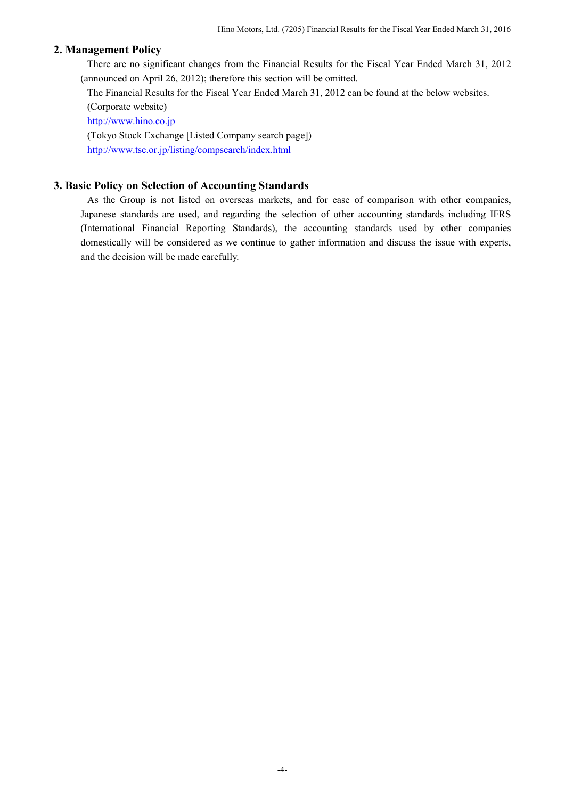## **2. Management Policy**

There are no significant changes from the Financial Results for the Fiscal Year Ended March 31, 2012 (announced on April 26, 2012); therefore this section will be omitted.

The Financial Results for the Fiscal Year Ended March 31, 2012 can be found at the below websites. (Corporate website)

http://www.hino.co.jp (Tokyo Stock Exchange [Listed Company search page]) http://www.tse.or.jp/listing/compsearch/index.html

## **3. Basic Policy on Selection of Accounting Standards**

As the Group is not listed on overseas markets, and for ease of comparison with other companies, Japanese standards are used, and regarding the selection of other accounting standards including IFRS (International Financial Reporting Standards), the accounting standards used by other companies domestically will be considered as we continue to gather information and discuss the issue with experts, and the decision will be made carefully.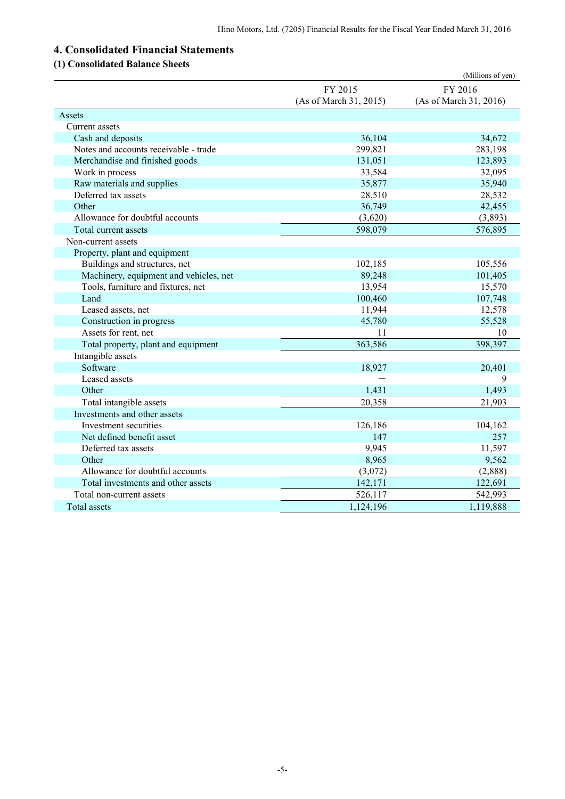# **4. Consolidated Financial Statements**

# **(1) Consolidated Balance Sheets**

|                                        |                        | (Millions of yen)      |
|----------------------------------------|------------------------|------------------------|
|                                        | FY 2015                | FY 2016                |
|                                        | (As of March 31, 2015) | (As of March 31, 2016) |
| Assets                                 |                        |                        |
| Current assets                         |                        |                        |
| Cash and deposits                      | 36,104                 | 34,672                 |
| Notes and accounts receivable - trade  | 299,821                | 283,198                |
| Merchandise and finished goods         | 131,051                | 123,893                |
| Work in process                        | 33,584                 | 32,095                 |
| Raw materials and supplies             | 35,877                 | 35,940                 |
| Deferred tax assets                    | 28,510                 | 28,532                 |
| Other                                  | 36,749                 | 42,455                 |
| Allowance for doubtful accounts        | (3,620)                | (3,893)                |
| Total current assets                   | 598,079                | 576,895                |
| Non-current assets                     |                        |                        |
| Property, plant and equipment          |                        |                        |
| Buildings and structures, net          | 102,185                | 105,556                |
| Machinery, equipment and vehicles, net | 89,248                 | 101,405                |
| Tools, furniture and fixtures, net     | 13,954                 | 15,570                 |
| Land                                   | 100,460                | 107,748                |
| Leased assets, net                     | 11,944                 | 12,578                 |
| Construction in progress               | 45,780                 | 55,528                 |
| Assets for rent, net                   | 11                     | 10                     |
| Total property, plant and equipment    | 363,586                | 398,397                |
| Intangible assets                      |                        |                        |
| Software                               | 18,927                 | 20,401                 |
| Leased assets                          |                        | 9                      |
| Other                                  | 1,431                  | 1,493                  |
| Total intangible assets                | 20,358                 | 21,903                 |
| Investments and other assets           |                        |                        |
| Investment securities                  | 126,186                | 104,162                |
| Net defined benefit asset              | 147                    | 257                    |
| Deferred tax assets                    | 9,945                  | 11,597                 |
| Other                                  | 8,965                  | 9,562                  |
| Allowance for doubtful accounts        | (3,072)                | (2,888)                |
| Total investments and other assets     | 142,171                | 122,691                |
| Total non-current assets               | 526,117                | 542,993                |
| Total assets                           | 1,124,196              | 1,119,888              |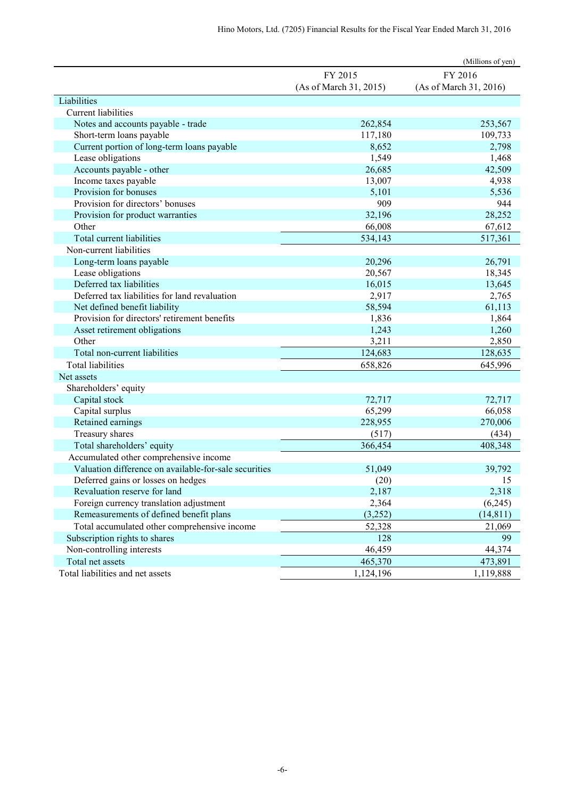|                                                       |                        | (Millions of yen)      |
|-------------------------------------------------------|------------------------|------------------------|
|                                                       | FY 2015                | FY 2016                |
|                                                       | (As of March 31, 2015) | (As of March 31, 2016) |
| Liabilities                                           |                        |                        |
| Current liabilities                                   |                        |                        |
| Notes and accounts payable - trade                    | 262,854                | 253,567                |
| Short-term loans payable                              | 117,180                | 109,733                |
| Current portion of long-term loans payable            | 8,652                  | 2,798                  |
| Lease obligations                                     | 1,549                  | 1,468                  |
| Accounts payable - other                              | 26,685                 | 42,509                 |
| Income taxes payable                                  | 13,007                 | 4,938                  |
| Provision for bonuses                                 | 5,101                  | 5,536                  |
| Provision for directors' bonuses                      | 909                    | 944                    |
| Provision for product warranties                      | 32,196                 | 28,252                 |
| Other                                                 | 66,008                 | 67,612                 |
| Total current liabilities                             | 534,143                | 517,361                |
| Non-current liabilities                               |                        |                        |
| Long-term loans payable                               | 20,296                 | 26,791                 |
| Lease obligations                                     | 20,567                 | 18,345                 |
| Deferred tax liabilities                              | 16,015                 | 13,645                 |
| Deferred tax liabilities for land revaluation         | 2,917                  | 2,765                  |
| Net defined benefit liability                         | 58,594                 | 61,113                 |
| Provision for directors' retirement benefits          | 1,836                  | 1,864                  |
| Asset retirement obligations                          | 1,243                  | 1,260                  |
| Other                                                 | 3,211                  | 2,850                  |
| Total non-current liabilities                         | 124,683                | 128,635                |
| <b>Total liabilities</b>                              | 658,826                | 645,996                |
| Net assets                                            |                        |                        |
| Shareholders' equity                                  |                        |                        |
| Capital stock                                         | 72,717                 | 72,717                 |
| Capital surplus                                       | 65,299                 | 66,058                 |
| Retained earnings                                     | 228,955                | 270,006                |
| Treasury shares                                       | (517)                  | (434)                  |
| Total shareholders' equity                            | 366,454                | 408,348                |
| Accumulated other comprehensive income                |                        |                        |
| Valuation difference on available-for-sale securities | 51,049                 | 39,792                 |
| Deferred gains or losses on hedges                    | (20)                   | 15                     |
| Revaluation reserve for land                          | 2,187                  | 2,318                  |
| Foreign currency translation adjustment               | 2,364                  | (6,245)                |
| Remeasurements of defined benefit plans               | (3,252)                | (14, 811)              |
| Total accumulated other comprehensive income          | 52,328                 | 21,069                 |
| Subscription rights to shares                         | 128                    | 99                     |
| Non-controlling interests                             | 46,459                 | 44,374                 |
| Total net assets                                      | 465,370                | 473,891                |
| Total liabilities and net assets                      | 1,124,196              | 1,119,888              |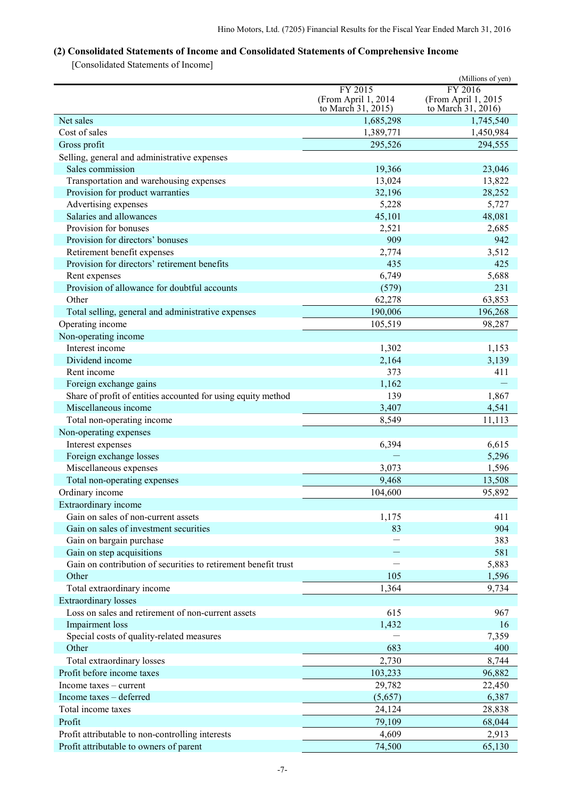# **(2) Consolidated Statements of Income and Consolidated Statements of Comprehensive Income**

[Consolidated Statements of Income]

|                                                                                             |                     | (Millions of yen)   |
|---------------------------------------------------------------------------------------------|---------------------|---------------------|
|                                                                                             | FY 2015             | FY 2016             |
|                                                                                             | (From April 1, 2014 | (From April 1, 2015 |
|                                                                                             | to March 31, 2015)  | to March 31, 2016)  |
| Net sales<br>Cost of sales                                                                  | 1,685,298           | 1,745,540           |
|                                                                                             | 1,389,771           | 1,450,984           |
| Gross profit                                                                                | 295,526             | 294,555             |
| Selling, general and administrative expenses                                                |                     |                     |
| Sales commission                                                                            | 19,366              | 23,046              |
| Transportation and warehousing expenses                                                     | 13,024              | 13,822              |
| Provision for product warranties                                                            | 32,196              | 28,252              |
| Advertising expenses                                                                        | 5,228               | 5,727               |
| Salaries and allowances                                                                     | 45,101              | 48,081              |
| Provision for bonuses                                                                       | 2,521               | 2,685               |
| Provision for directors' bonuses                                                            | 909                 | 942                 |
| Retirement benefit expenses                                                                 | 2,774               | 3,512               |
| Provision for directors' retirement benefits                                                | 435                 | 425                 |
| Rent expenses                                                                               | 6,749               | 5,688               |
| Provision of allowance for doubtful accounts                                                | (579)               | 231                 |
| Other                                                                                       | 62,278              | 63,853              |
| Total selling, general and administrative expenses                                          | 190,006             | 196,268             |
| Operating income                                                                            | 105,519             | 98,287              |
| Non-operating income                                                                        |                     |                     |
| Interest income                                                                             | 1,302               | 1,153               |
| Dividend income                                                                             | 2,164               | 3,139               |
| Rent income                                                                                 | 373                 | 411                 |
| Foreign exchange gains                                                                      | 1,162               |                     |
| Share of profit of entities accounted for using equity method<br>Miscellaneous income       | 139                 | 1,867               |
|                                                                                             | 3,407               | 4,541               |
| Total non-operating income                                                                  | 8,549               | 11,113              |
| Non-operating expenses                                                                      |                     |                     |
| Interest expenses                                                                           | 6,394               | 6,615               |
| Foreign exchange losses                                                                     | 3,073               | 5,296<br>1,596      |
| Miscellaneous expenses                                                                      |                     |                     |
| Total non-operating expenses                                                                | 9,468               | 13,508              |
| Ordinary income                                                                             | 104,600             | 95,892              |
| Extraordinary income                                                                        |                     |                     |
| Gain on sales of non-current assets                                                         | 1,175               | 411                 |
| Gain on sales of investment securities                                                      | 83                  | 904                 |
| Gain on bargain purchase                                                                    |                     | 383                 |
| Gain on step acquisitions<br>Gain on contribution of securities to retirement benefit trust |                     | 581                 |
| Other                                                                                       | 105                 | 5,883               |
|                                                                                             |                     | 1,596               |
| Total extraordinary income                                                                  | 1,364               | 9,734               |
| <b>Extraordinary losses</b><br>Loss on sales and retirement of non-current assets           | 615                 |                     |
|                                                                                             |                     | 967                 |
| Impairment loss                                                                             | 1,432               | 16<br>7,359         |
| Special costs of quality-related measures<br>Other                                          | 683                 | 400                 |
|                                                                                             | 2,730               | 8,744               |
| Total extraordinary losses                                                                  |                     |                     |
| Profit before income taxes                                                                  | 103,233             | 96,882              |
| Income taxes – current                                                                      | 29,782              | 22,450              |
| Income taxes - deferred                                                                     | (5,657)             | 6,387               |
| Total income taxes                                                                          | 24,124              | 28,838              |
| Profit                                                                                      | 79,109              | 68,044              |
| Profit attributable to non-controlling interests                                            | 4,609               | 2,913               |
| Profit attributable to owners of parent                                                     | 74,500              | 65,130              |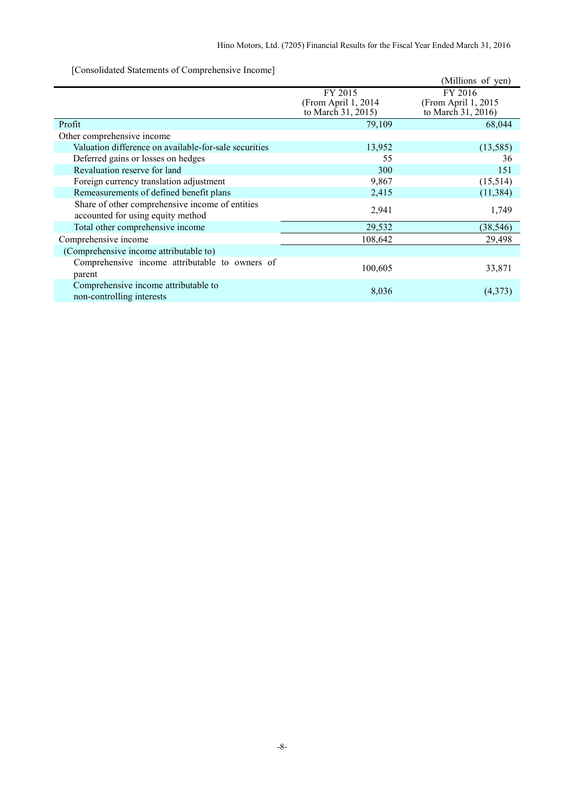[Consolidated Statements of Comprehensive Income]

| $\sim$ consolidated blatements of complements $\epsilon$ income |                     |                     |
|-----------------------------------------------------------------|---------------------|---------------------|
|                                                                 |                     | (Millions of yen)   |
|                                                                 | FY 2015             | FY 2016             |
|                                                                 | (From April 1, 2014 | (From April 1, 2015 |
|                                                                 | to March 31, 2015)  | to March 31, 2016)  |
| Profit                                                          | 79,109              | 68,044              |
| Other comprehensive income                                      |                     |                     |
| Valuation difference on available-for-sale securities           | 13,952              | (13, 585)           |
| Deferred gains or losses on hedges                              | 55                  | 36                  |
| Revaluation reserve for land                                    | 300                 | 151                 |
| Foreign currency translation adjustment                         | 9,867               | (15,514)            |
| Remeasurements of defined benefit plans                         | 2,415               | (11, 384)           |
| Share of other comprehensive income of entities                 |                     |                     |
| accounted for using equity method                               | 2,941               | 1,749               |
| Total other comprehensive income                                | 29,532              | (38, 546)           |
| Comprehensive income                                            | 108,642             | 29,498              |
| (Comprehensive income attributable to)                          |                     |                     |
| Comprehensive income attributable to owners of                  |                     |                     |
| parent                                                          | 100,605             | 33,871              |
| Comprehensive income attributable to                            |                     |                     |
| non-controlling interests                                       | 8,036               | (4,373)             |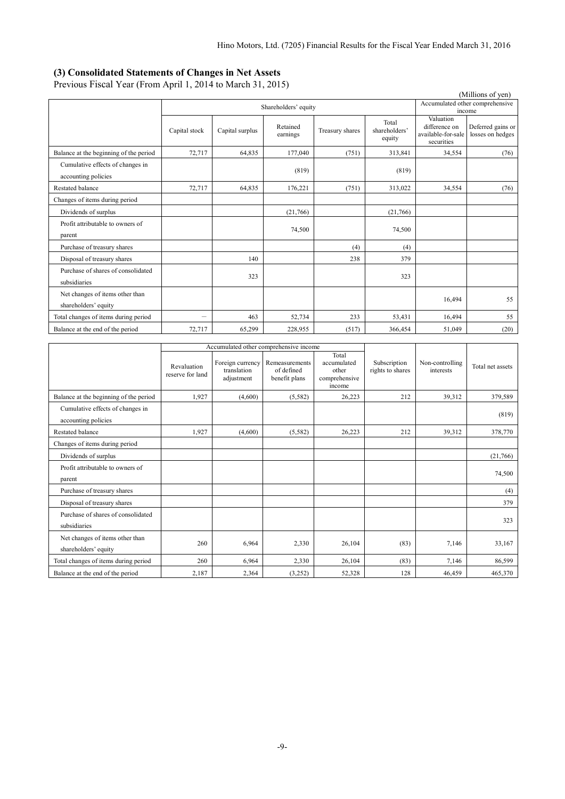### **(3) Consolidated Statements of Changes in Net Assets**

Previous Fiscal Year (From April 1, 2014 to March 31, 2015)

| (Millions of yen)                      |                          |                      |          |                 |                        |                                  |                                 |
|----------------------------------------|--------------------------|----------------------|----------|-----------------|------------------------|----------------------------------|---------------------------------|
|                                        |                          | Shareholders' equity |          |                 |                        |                                  | Accumulated other comprehensive |
|                                        |                          |                      |          |                 |                        | Valuation                        | income                          |
|                                        | Capital stock            | Capital surplus      | Retained | Treasury shares | Total<br>shareholders' | difference on                    | Deferred gains or               |
|                                        |                          |                      | earnings |                 | equity                 | available-for-sale<br>securities | losses on hedges                |
| Balance at the beginning of the period | 72,717                   | 64,835               | 177,040  | (751)           | 313,841                | 34,554                           | (76)                            |
| Cumulative effects of changes in       |                          |                      |          |                 |                        |                                  |                                 |
| accounting policies                    |                          |                      | (819)    |                 | (819)                  |                                  |                                 |
| <b>Restated balance</b>                | 72,717                   | 64,835               | 176,221  | (751)           | 313,022                | 34,554                           | (76)                            |
| Changes of items during period         |                          |                      |          |                 |                        |                                  |                                 |
| Dividends of surplus                   |                          |                      | (21,766) |                 | (21,766)               |                                  |                                 |
| Profit attributable to owners of       |                          |                      |          |                 |                        |                                  |                                 |
| parent                                 |                          |                      | 74,500   |                 | 74,500                 |                                  |                                 |
| Purchase of treasury shares            |                          |                      |          | (4)             | (4)                    |                                  |                                 |
| Disposal of treasury shares            |                          | 140                  |          | 238             | 379                    |                                  |                                 |
| Purchase of shares of consolidated     |                          | 323                  |          |                 | 323                    |                                  |                                 |
| subsidiaries                           |                          |                      |          |                 |                        |                                  |                                 |
| Net changes of items other than        |                          |                      |          |                 |                        |                                  | 55                              |
| shareholders' equity                   |                          |                      |          |                 |                        | 16,494                           |                                 |
| Total changes of items during period   | $\overline{\phantom{m}}$ | 463                  | 52,734   | 233             | 53,431                 | 16,494                           | 55                              |
| Balance at the end of the period       | 72,717                   | 65,299               | 228,955  | (517)           | 366,454                | 51,049                           | (20)                            |

|                                                         | Accumulated other comprehensive income |                                               |                                               |                                                          |                                  |                              |                  |
|---------------------------------------------------------|----------------------------------------|-----------------------------------------------|-----------------------------------------------|----------------------------------------------------------|----------------------------------|------------------------------|------------------|
|                                                         | Revaluation<br>reserve for land        | Foreign currency<br>translation<br>adjustment | Remeasurements<br>of defined<br>benefit plans | Total<br>accumulated<br>other<br>comprehensive<br>income | Subscription<br>rights to shares | Non-controlling<br>interests | Total net assets |
| Balance at the beginning of the period                  | 1,927                                  | (4,600)                                       | (5,582)                                       | 26,223                                                   | 212                              | 39,312                       | 379,589          |
| Cumulative effects of changes in<br>accounting policies |                                        |                                               |                                               |                                                          |                                  |                              | (819)            |
| Restated balance                                        | 1,927                                  | (4,600)                                       | (5,582)                                       | 26,223                                                   | 212                              | 39,312                       | 378,770          |
| Changes of items during period                          |                                        |                                               |                                               |                                                          |                                  |                              |                  |
| Dividends of surplus                                    |                                        |                                               |                                               |                                                          |                                  |                              | (21,766)         |
| Profit attributable to owners of<br>parent              |                                        |                                               |                                               |                                                          |                                  |                              | 74,500           |
| Purchase of treasury shares                             |                                        |                                               |                                               |                                                          |                                  |                              | (4)              |
| Disposal of treasury shares                             |                                        |                                               |                                               |                                                          |                                  |                              | 379              |
| Purchase of shares of consolidated<br>subsidiaries      |                                        |                                               |                                               |                                                          |                                  |                              | 323              |
| Net changes of items other than<br>shareholders' equity | 260                                    | 6,964                                         | 2,330                                         | 26,104                                                   | (83)                             | 7,146                        | 33,167           |
| Total changes of items during period                    | 260                                    | 6.964                                         | 2,330                                         | 26,104                                                   | (83)                             | 7.146                        | 86,599           |
| Balance at the end of the period                        | 2,187                                  | 2,364                                         | (3,252)                                       | 52,328                                                   | 128                              | 46,459                       | 465,370          |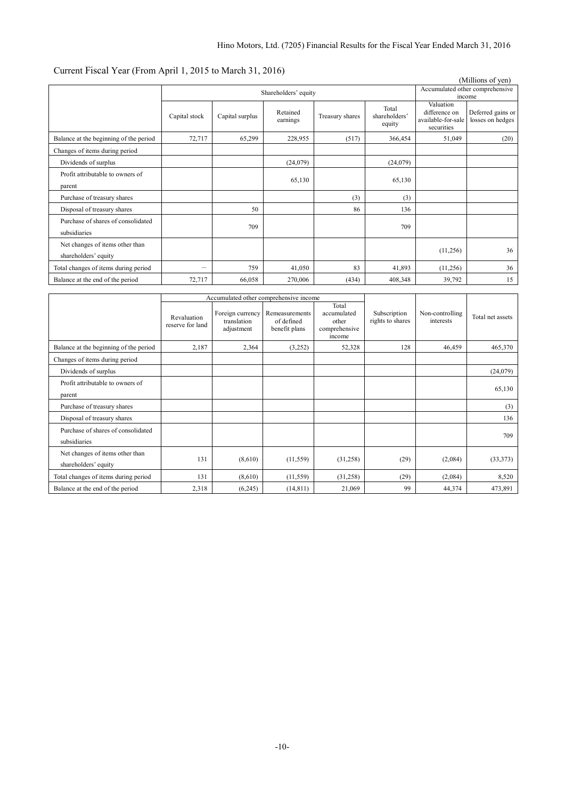# Current Fiscal Year (From April 1, 2015 to March 31, 2016)

|                                                         |                      |                 |                      |                 |                                  |                                                                | (Millions of yen)                     |
|---------------------------------------------------------|----------------------|-----------------|----------------------|-----------------|----------------------------------|----------------------------------------------------------------|---------------------------------------|
|                                                         | Shareholders' equity |                 |                      |                 |                                  | Accumulated other comprehensive<br>income                      |                                       |
|                                                         | Capital stock        | Capital surplus | Retained<br>earnings | Treasury shares | Total<br>shareholders'<br>equity | Valuation<br>difference on<br>available-for-sale<br>securities | Deferred gains or<br>losses on hedges |
| Balance at the beginning of the period                  | 72,717               | 65,299          | 228,955              | (517)           | 366,454                          | 51,049                                                         | (20)                                  |
| Changes of items during period                          |                      |                 |                      |                 |                                  |                                                                |                                       |
| Dividends of surplus                                    |                      |                 | (24, 079)            |                 | (24,079)                         |                                                                |                                       |
| Profit attributable to owners of<br>parent              |                      |                 | 65,130               |                 | 65,130                           |                                                                |                                       |
| Purchase of treasury shares                             |                      |                 |                      | (3)             | (3)                              |                                                                |                                       |
| Disposal of treasury shares                             |                      | 50              |                      | 86              | 136                              |                                                                |                                       |
| Purchase of shares of consolidated<br>subsidiaries      |                      | 709             |                      |                 | 709                              |                                                                |                                       |
| Net changes of items other than<br>shareholders' equity |                      |                 |                      |                 |                                  | (11,256)                                                       | 36                                    |
| Total changes of items during period                    | -                    | 759             | 41,050               | 83              | 41,893                           | (11,256)                                                       | 36                                    |
| Balance at the end of the period                        | 72,717               | 66,058          | 270,006              | (434)           | 408,348                          | 39,792                                                         | 15                                    |

|                                                         | Accumulated other comprehensive income |                                               |                                               |                                                          |                                  |                              |                  |
|---------------------------------------------------------|----------------------------------------|-----------------------------------------------|-----------------------------------------------|----------------------------------------------------------|----------------------------------|------------------------------|------------------|
|                                                         | Revaluation<br>reserve for land        | Foreign currency<br>translation<br>adjustment | Remeasurements<br>of defined<br>benefit plans | Total<br>accumulated<br>other<br>comprehensive<br>income | Subscription<br>rights to shares | Non-controlling<br>interests | Total net assets |
| Balance at the beginning of the period                  | 2,187                                  | 2,364                                         | (3,252)                                       | 52,328                                                   | 128                              | 46,459                       | 465,370          |
| Changes of items during period                          |                                        |                                               |                                               |                                                          |                                  |                              |                  |
| Dividends of surplus                                    |                                        |                                               |                                               |                                                          |                                  |                              | (24,079)         |
| Profit attributable to owners of<br>parent              |                                        |                                               |                                               |                                                          |                                  |                              | 65,130           |
| Purchase of treasury shares                             |                                        |                                               |                                               |                                                          |                                  |                              | (3)              |
| Disposal of treasury shares                             |                                        |                                               |                                               |                                                          |                                  |                              | 136              |
| Purchase of shares of consolidated<br>subsidiaries      |                                        |                                               |                                               |                                                          |                                  |                              | 709              |
| Net changes of items other than<br>shareholders' equity | 131                                    | (8,610)                                       | (11, 559)                                     | (31,258)                                                 | (29)                             | (2,084)                      | (33, 373)        |
| Total changes of items during period                    | 131                                    | (8,610)                                       | (11, 559)                                     | (31,258)                                                 | (29)                             | (2,084)                      | 8,520            |
| Balance at the end of the period                        | 2,318                                  | (6,245)                                       | (14, 811)                                     | 21,069                                                   | 99                               | 44,374                       | 473,891          |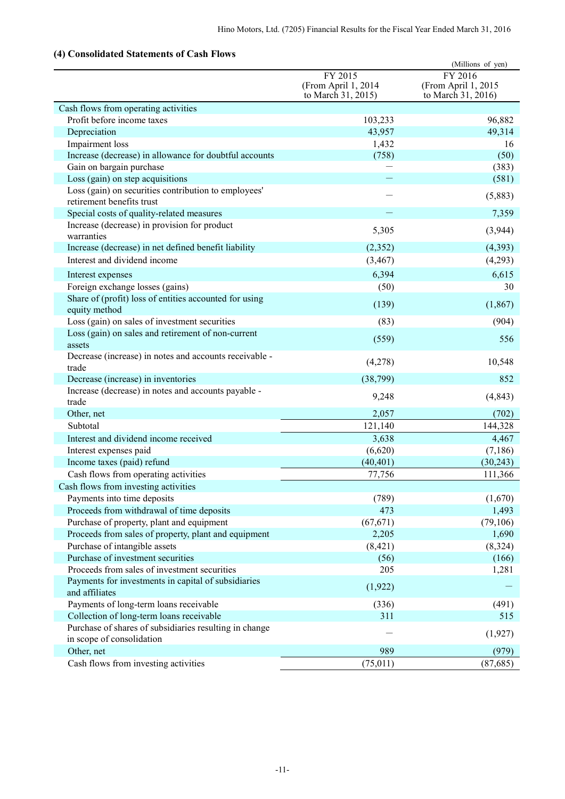# **(4) Consolidated Statements of Cash Flows**

| Consonuattu Biattinthis of Cash Fio                                                 |                                                      | (Millions of yen)                                    |
|-------------------------------------------------------------------------------------|------------------------------------------------------|------------------------------------------------------|
|                                                                                     | FY 2015<br>(From April 1, 2014<br>to March 31, 2015) | FY 2016<br>(From April 1, 2015<br>to March 31, 2016) |
| Cash flows from operating activities                                                |                                                      |                                                      |
| Profit before income taxes                                                          | 103,233                                              | 96,882                                               |
| Depreciation                                                                        | 43,957                                               | 49,314                                               |
| Impairment loss                                                                     | 1,432                                                | 16                                                   |
| Increase (decrease) in allowance for doubtful accounts                              | (758)                                                | (50)                                                 |
| Gain on bargain purchase                                                            |                                                      | (383)                                                |
| Loss (gain) on step acquisitions                                                    |                                                      | (581)                                                |
| Loss (gain) on securities contribution to employees'<br>retirement benefits trust   |                                                      | (5,883)                                              |
| Special costs of quality-related measures                                           |                                                      | 7,359                                                |
| Increase (decrease) in provision for product<br>warranties                          | 5,305                                                | (3,944)                                              |
| Increase (decrease) in net defined benefit liability                                | (2,352)                                              | (4, 393)                                             |
| Interest and dividend income                                                        | (3, 467)                                             | (4,293)                                              |
| Interest expenses                                                                   | 6,394                                                | 6,615                                                |
| Foreign exchange losses (gains)                                                     | (50)                                                 | 30                                                   |
| Share of (profit) loss of entities accounted for using                              |                                                      |                                                      |
| equity method                                                                       | (139)                                                | (1, 867)                                             |
| Loss (gain) on sales of investment securities                                       | (83)                                                 | (904)                                                |
| Loss (gain) on sales and retirement of non-current<br>assets                        | (559)                                                | 556                                                  |
| Decrease (increase) in notes and accounts receivable -<br>trade                     | (4,278)                                              | 10,548                                               |
| Decrease (increase) in inventories                                                  | (38,799)                                             | 852                                                  |
| Increase (decrease) in notes and accounts payable -                                 |                                                      |                                                      |
| trade                                                                               | 9,248                                                | (4, 843)                                             |
| Other, net                                                                          | 2,057                                                | (702)                                                |
| Subtotal                                                                            | 121,140                                              | 144,328                                              |
| Interest and dividend income received                                               | 3,638                                                | 4,467                                                |
| Interest expenses paid                                                              | (6,620)                                              | (7,186)                                              |
| Income taxes (paid) refund                                                          | (40, 401)                                            | (30, 243)                                            |
| Cash flows from operating activities                                                | 77,756                                               | 111,366                                              |
| Cash flows from investing activities                                                |                                                      |                                                      |
| Payments into time deposits                                                         | (789)                                                | (1,670)                                              |
| Proceeds from withdrawal of time deposits                                           | 473                                                  | 1,493                                                |
| Purchase of property, plant and equipment                                           | (67, 671)                                            | (79, 106)                                            |
| Proceeds from sales of property, plant and equipment                                | 2,205                                                | 1,690                                                |
| Purchase of intangible assets                                                       | (8, 421)                                             | (8,324)                                              |
| Purchase of investment securities                                                   | (56)                                                 | (166)                                                |
| Proceeds from sales of investment securities                                        | 205                                                  | 1,281                                                |
| Payments for investments in capital of subsidiaries<br>and affiliates               | (1,922)                                              |                                                      |
| Payments of long-term loans receivable                                              | (336)                                                | (491)                                                |
| Collection of long-term loans receivable                                            | 311                                                  | 515                                                  |
| Purchase of shares of subsidiaries resulting in change<br>in scope of consolidation |                                                      | (1,927)                                              |
| Other, net                                                                          | 989                                                  | (979)                                                |
| Cash flows from investing activities                                                | (75, 011)                                            | (87, 685)                                            |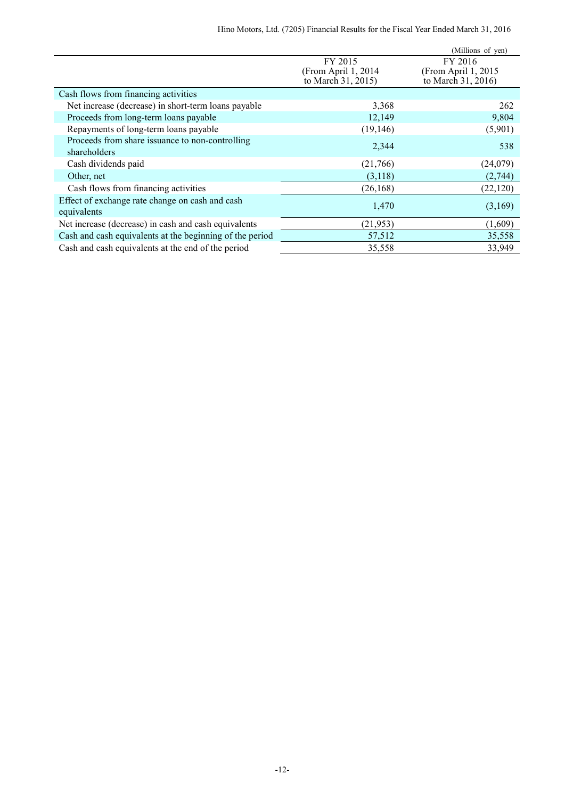|                                                                 |                                                      | (Millions of yen)                                     |
|-----------------------------------------------------------------|------------------------------------------------------|-------------------------------------------------------|
|                                                                 | FY 2015<br>(From April 1, 2014<br>to March 31, 2015) | FY 2016<br>(From April 1, 2015)<br>to March 31, 2016) |
| Cash flows from financing activities                            |                                                      |                                                       |
| Net increase (decrease) in short-term loans payable             | 3,368                                                | 262                                                   |
| Proceeds from long-term loans payable                           | 12,149                                               | 9,804                                                 |
| Repayments of long-term loans payable                           | (19, 146)                                            | (5,901)                                               |
| Proceeds from share issuance to non-controlling<br>shareholders | 2,344                                                | 538                                                   |
| Cash dividends paid                                             | (21,766)                                             | (24,079)                                              |
| Other, net                                                      | (3,118)                                              | (2,744)                                               |
| Cash flows from financing activities                            | (26, 168)                                            | (22, 120)                                             |
| Effect of exchange rate change on cash and cash<br>equivalents  | 1,470                                                | (3,169)                                               |
| Net increase (decrease) in cash and cash equivalents            | (21, 953)                                            | (1,609)                                               |
| Cash and cash equivalents at the beginning of the period        | 57,512                                               | 35,558                                                |
| Cash and cash equivalents at the end of the period              | 35,558                                               | 33,949                                                |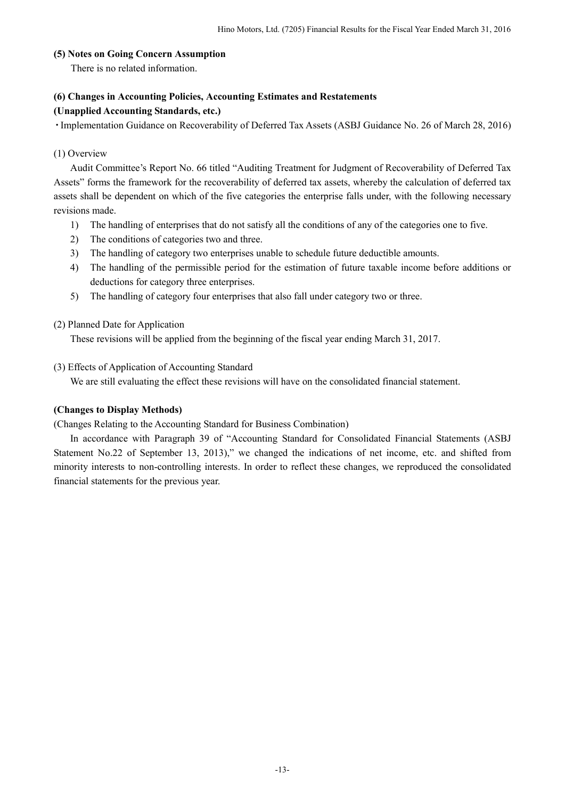### **(5) Notes on Going Concern Assumption**

There is no related information.

### **(6) Changes in Accounting Policies, Accounting Estimates and Restatements**

### **(Unapplied Accounting Standards, etc.)**

・Implementation Guidance on Recoverability of Deferred Tax Assets (ASBJ Guidance No. 26 of March 28, 2016)

### (1) Overview

Audit Committee's Report No. 66 titled "Auditing Treatment for Judgment of Recoverability of Deferred Tax Assets" forms the framework for the recoverability of deferred tax assets, whereby the calculation of deferred tax assets shall be dependent on which of the five categories the enterprise falls under, with the following necessary revisions made.

- 1) The handling of enterprises that do not satisfy all the conditions of any of the categories one to five.
- 2) The conditions of categories two and three.
- 3) The handling of category two enterprises unable to schedule future deductible amounts.
- 4) The handling of the permissible period for the estimation of future taxable income before additions or deductions for category three enterprises.
- 5) The handling of category four enterprises that also fall under category two or three.

### (2) Planned Date for Application

These revisions will be applied from the beginning of the fiscal year ending March 31, 2017.

### (3) Effects of Application of Accounting Standard

We are still evaluating the effect these revisions will have on the consolidated financial statement.

### **(Changes to Display Methods)**

(Changes Relating to the Accounting Standard for Business Combination)

In accordance with Paragraph 39 of "Accounting Standard for Consolidated Financial Statements (ASBJ Statement No.22 of September 13, 2013)," we changed the indications of net income, etc. and shifted from minority interests to non-controlling interests. In order to reflect these changes, we reproduced the consolidated financial statements for the previous year.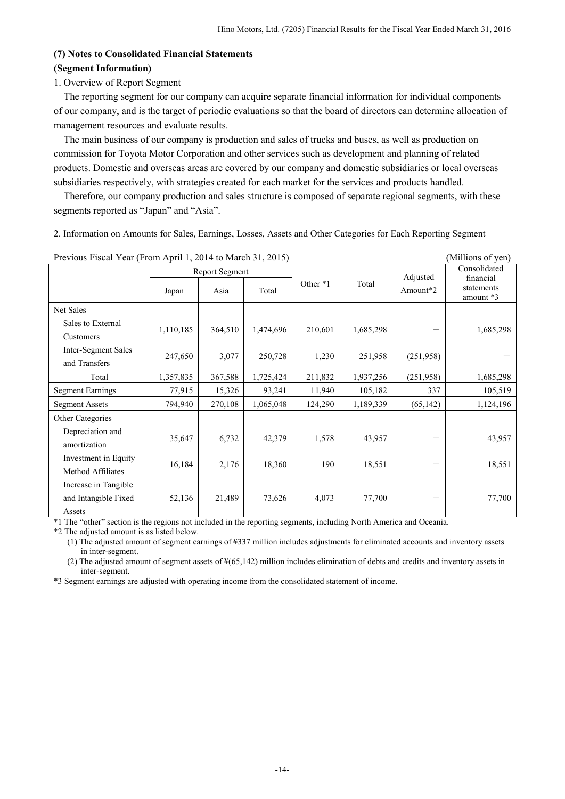## **(7) Notes to Consolidated Financial Statements (Segment Information)**

### 1. Overview of Report Segment

The reporting segment for our company can acquire separate financial information for individual components of our company, and is the target of periodic evaluations so that the board of directors can determine allocation of management resources and evaluate results.

The main business of our company is production and sales of trucks and buses, as well as production on commission for Toyota Motor Corporation and other services such as development and planning of related products. Domestic and overseas areas are covered by our company and domestic subsidiaries or local overseas subsidiaries respectively, with strategies created for each market for the services and products handled.

Therefore, our company production and sales structure is composed of separate regional segments, with these segments reported as "Japan" and "Asia".

2. Information on Amounts for Sales, Earnings, Losses, Assets and Other Categories for Each Reporting Segment

| TTCVIOUS FISCAL TCAL (FIOIII APHILI, 2014 tO MAICH 91, 2019) |           |                |           |          |           |            | TMITHOTIS OF ACITY        |
|--------------------------------------------------------------|-----------|----------------|-----------|----------|-----------|------------|---------------------------|
|                                                              |           | Report Segment |           |          |           | Adjusted   | Consolidated<br>financial |
|                                                              | Japan     | Asia           | Total     | Other *1 | Total     | Amount*2   | statements<br>amount *3   |
| Net Sales                                                    |           |                |           |          |           |            |                           |
| Sales to External                                            | 1,110,185 | 364,510        | 1,474,696 | 210,601  | 1,685,298 |            | 1,685,298                 |
| Customers                                                    |           |                |           |          |           |            |                           |
| Inter-Segment Sales                                          | 247,650   | 3,077          | 250,728   | 1,230    | 251,958   | (251,958)  |                           |
| and Transfers                                                |           |                |           |          |           |            |                           |
| Total                                                        | 1,357,835 | 367,588        | 1,725,424 | 211,832  | 1,937,256 | (251, 958) | 1,685,298                 |
| <b>Segment Earnings</b>                                      | 77,915    | 15,326         | 93,241    | 11,940   | 105,182   | 337        | 105,519                   |
| <b>Segment Assets</b>                                        | 794,940   | 270,108        | 1,065,048 | 124,290  | 1,189,339 | (65, 142)  | 1,124,196                 |
| Other Categories                                             |           |                |           |          |           |            |                           |
| Depreciation and                                             | 35,647    | 6,732          | 42,379    | 1,578    | 43,957    |            | 43,957                    |
| amortization                                                 |           |                |           |          |           |            |                           |
| Investment in Equity                                         | 16,184    | 2,176          | 18,360    | 190      | 18,551    | —          | 18,551                    |
| Method Affiliates                                            |           |                |           |          |           |            |                           |
| Increase in Tangible                                         |           |                |           |          |           |            |                           |
| and Intangible Fixed                                         | 52,136    | 21,489         | 73,626    | 4,073    | 77,700    |            | 77,700                    |
| Assets                                                       |           |                |           |          |           |            |                           |

Previous Fiscal Year (From April 1, 2014 to March 31, 2015) (Millions of yen)

\*1 The "other" section is the regions not included in the reporting segments, including North America and Oceania.

\*2 The adjusted amount is as listed below.

(1) The adjusted amount of segment earnings of ¥337 million includes adjustments for eliminated accounts and inventory assets in inter-segment.

(2) The adjusted amount of segment assets of ¥(65,142) million includes elimination of debts and credits and inventory assets in inter-segment.

\*3 Segment earnings are adjusted with operating income from the consolidated statement of income.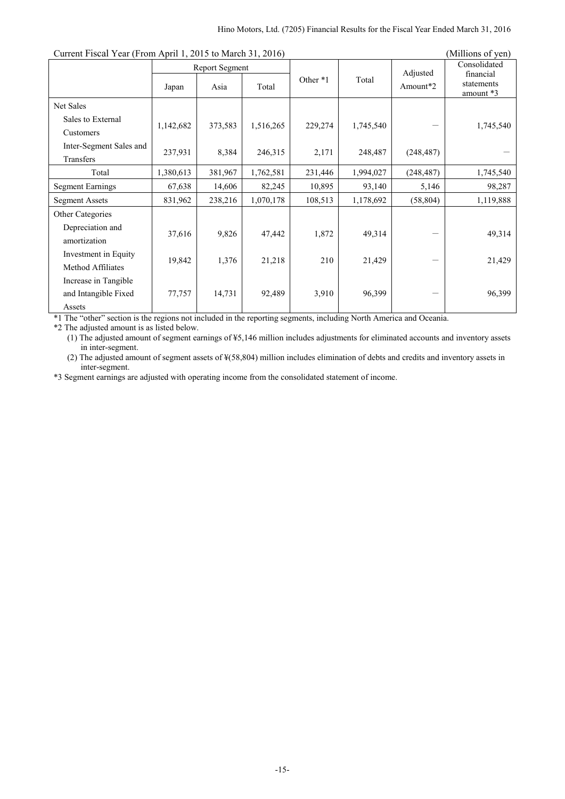| Current Fiscal Fear (From April 1, 2013 to March 31, 2010) |           |                        |           |          |           |                      | TMIIIIOIIS OL VEILI                                  |
|------------------------------------------------------------|-----------|------------------------|-----------|----------|-----------|----------------------|------------------------------------------------------|
|                                                            | Japan     | Report Segment<br>Asia | Total     | Other *1 | Total     | Adjusted<br>Amount*2 | Consolidated<br>financial<br>statements<br>amount *3 |
| Net Sales                                                  |           |                        |           |          |           |                      |                                                      |
| Sales to External                                          |           | 373,583                |           |          | 1,745,540 |                      |                                                      |
| Customers                                                  | 1,142,682 |                        | 1,516,265 | 229,274  |           |                      | 1,745,540                                            |
| Inter-Segment Sales and                                    | 237,931   | 8,384                  | 246,315   | 2,171    | 248,487   | (248, 487)           |                                                      |
| Transfers                                                  |           |                        |           |          |           |                      |                                                      |
| Total                                                      | 1,380,613 | 381,967                | 1,762,581 | 231,446  | 1,994,027 | (248, 487)           | 1,745,540                                            |
| <b>Segment Earnings</b>                                    | 67,638    | 14,606                 | 82,245    | 10,895   | 93,140    | 5,146                | 98,287                                               |
| <b>Segment Assets</b>                                      | 831,962   | 238,216                | 1,070,178 | 108,513  | 1,178,692 | (58, 804)            | 1,119,888                                            |
| Other Categories                                           |           |                        |           |          |           |                      |                                                      |
| Depreciation and                                           | 37,616    | 9,826                  | 47,442    | 1,872    | 49,314    |                      | 49,314                                               |
| amortization                                               |           |                        |           |          |           |                      |                                                      |
| Investment in Equity                                       | 19,842    | 1,376                  | 21,218    | 210      | 21,429    |                      | 21,429                                               |
| Method Affiliates                                          |           |                        |           |          |           |                      |                                                      |
| Increase in Tangible                                       |           |                        |           |          |           |                      |                                                      |
| and Intangible Fixed                                       | 77,757    | 14,731                 | 92,489    | 3,910    | 96,399    |                      | 96,399                                               |
| Assets                                                     |           |                        |           |          |           |                      |                                                      |

Current Fiscal Year (From April 1, 2015 to March 31, 2016) (Millions of yen)

\*1 The "other" section is the regions not included in the reporting segments, including North America and Oceania.

\*2 The adjusted amount is as listed below.

(1) The adjusted amount of segment earnings of ¥5,146 million includes adjustments for eliminated accounts and inventory assets in inter-segment.

(2) The adjusted amount of segment assets of ¥(58,804) million includes elimination of debts and credits and inventory assets in inter-segment.

\*3 Segment earnings are adjusted with operating income from the consolidated statement of income.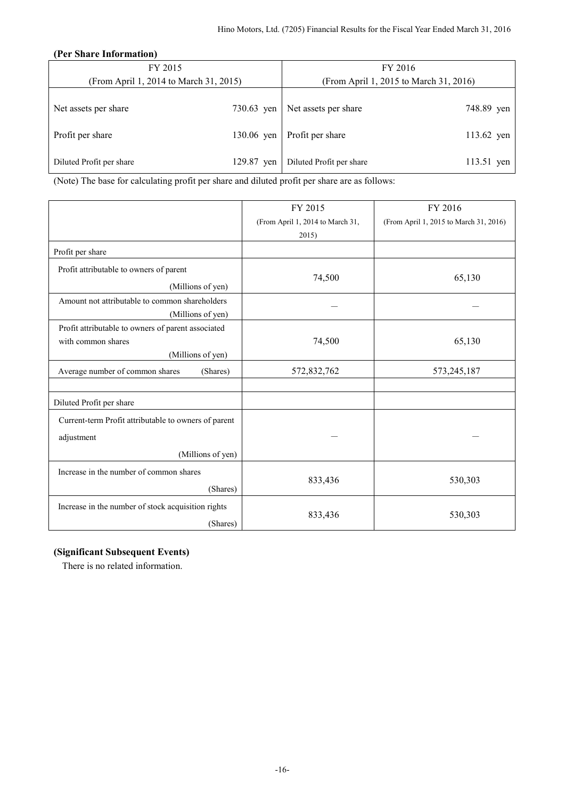### **(Per Share Information)**

| FY 2015                                |            | FY 2016                                |            |  |
|----------------------------------------|------------|----------------------------------------|------------|--|
| (From April 1, 2014 to March 31, 2015) |            | (From April 1, 2015 to March 31, 2016) |            |  |
|                                        |            |                                        |            |  |
| Net assets per share                   | 730.63 yen | Net assets per share                   | 748.89 yen |  |
| Profit per share                       | 130.06 yen | Profit per share                       | 113.62 yen |  |
| Diluted Profit per share               | 129.87 yen | Diluted Profit per share               | 113.51 yen |  |

(Note) The base for calculating profit per share and diluted profit per share are as follows:

|                                                      | FY 2015                          | FY 2016                                |
|------------------------------------------------------|----------------------------------|----------------------------------------|
|                                                      | (From April 1, 2014 to March 31, | (From April 1, 2015 to March 31, 2016) |
|                                                      | 2015)                            |                                        |
| Profit per share                                     |                                  |                                        |
| Profit attributable to owners of parent              |                                  |                                        |
| (Millions of yen)                                    | 74,500                           | 65,130                                 |
| Amount not attributable to common shareholders       |                                  |                                        |
| (Millions of yen)                                    |                                  |                                        |
| Profit attributable to owners of parent associated   |                                  |                                        |
| with common shares                                   | 74,500                           | 65,130                                 |
| (Millions of yen)                                    |                                  |                                        |
| Average number of common shares<br>(Shares)          | 572,832,762                      | 573,245,187                            |
|                                                      |                                  |                                        |
| Diluted Profit per share                             |                                  |                                        |
| Current-term Profit attributable to owners of parent |                                  |                                        |
| adjustment                                           |                                  |                                        |
| (Millions of yen)                                    |                                  |                                        |
| Increase in the number of common shares              |                                  |                                        |
| (Shares)                                             | 833,436                          | 530,303                                |
| Increase in the number of stock acquisition rights   |                                  |                                        |
| (Shares)                                             | 833,436                          | 530,303                                |

### **(Significant Subsequent Events)**

There is no related information.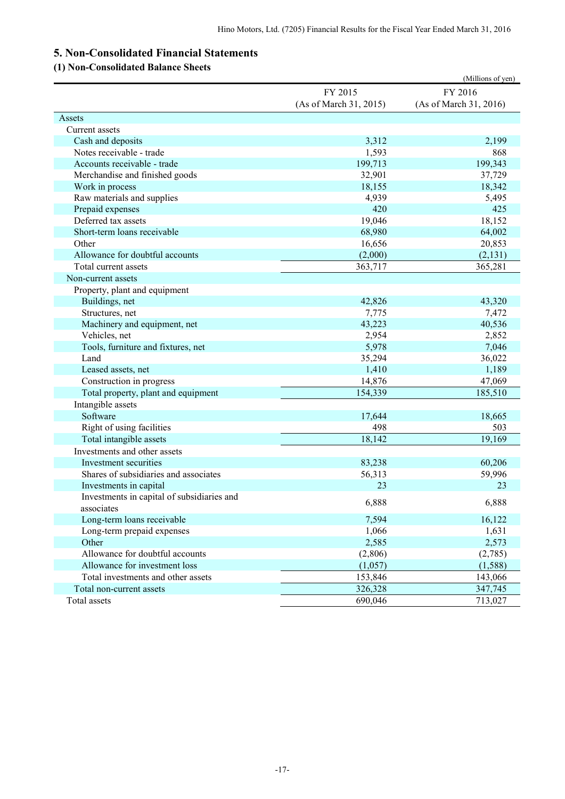# **5. Non-Consolidated Financial Statements**

# **(1) Non-Consolidated Balance Sheets**

|                                            |                        | (Millions of yen)      |
|--------------------------------------------|------------------------|------------------------|
|                                            | FY 2015                | FY 2016                |
|                                            | (As of March 31, 2015) | (As of March 31, 2016) |
| Assets                                     |                        |                        |
| Current assets                             |                        |                        |
| Cash and deposits                          | 3,312                  | 2,199                  |
| Notes receivable - trade                   | 1,593                  | 868                    |
| Accounts receivable - trade                | 199,713                | 199,343                |
| Merchandise and finished goods             | 32,901                 | 37,729                 |
| Work in process                            | 18,155                 | 18,342                 |
| Raw materials and supplies                 | 4,939                  | 5,495                  |
| Prepaid expenses                           | 420                    | 425                    |
| Deferred tax assets                        | 19,046                 | 18,152                 |
| Short-term loans receivable                | 68,980                 | 64,002                 |
| Other                                      | 16,656                 | 20,853                 |
| Allowance for doubtful accounts            | (2,000)                | (2, 131)               |
| Total current assets                       | 363,717                | 365,281                |
| Non-current assets                         |                        |                        |
| Property, plant and equipment              |                        |                        |
| Buildings, net                             | 42,826                 | 43,320                 |
| Structures, net                            | 7,775                  | 7,472                  |
| Machinery and equipment, net               | 43,223                 | 40,536                 |
| Vehicles, net                              | 2,954                  | 2,852                  |
| Tools, furniture and fixtures, net         | 5,978                  | 7,046                  |
| Land                                       | 35,294                 | 36,022                 |
| Leased assets, net                         | 1,410                  | 1,189                  |
| Construction in progress                   | 14,876                 | 47,069                 |
| Total property, plant and equipment        | 154,339                | 185,510                |
| Intangible assets                          |                        |                        |
| Software                                   | 17,644                 | 18,665                 |
| Right of using facilities                  | 498                    | 503                    |
| Total intangible assets                    | 18,142                 | 19,169                 |
| Investments and other assets               |                        |                        |
| Investment securities                      | 83,238                 | 60,206                 |
| Shares of subsidiaries and associates      | 56,313                 | 59,996                 |
| Investments in capital                     | 23                     | 23                     |
| Investments in capital of subsidiaries and | 6,888                  | 6,888                  |
| associates                                 |                        |                        |
| Long-term loans receivable                 | 7,594                  | 16,122                 |
| Long-term prepaid expenses                 | 1,066                  | 1,631                  |
| Other                                      | 2,585                  | 2,573                  |
| Allowance for doubtful accounts            | (2,806)                | (2,785)                |
| Allowance for investment loss              | (1,057)                | (1,588)                |
| Total investments and other assets         | 153,846                | 143,066                |
| Total non-current assets                   | 326,328                | 347,745                |
| Total assets                               | 690,046                | 713,027                |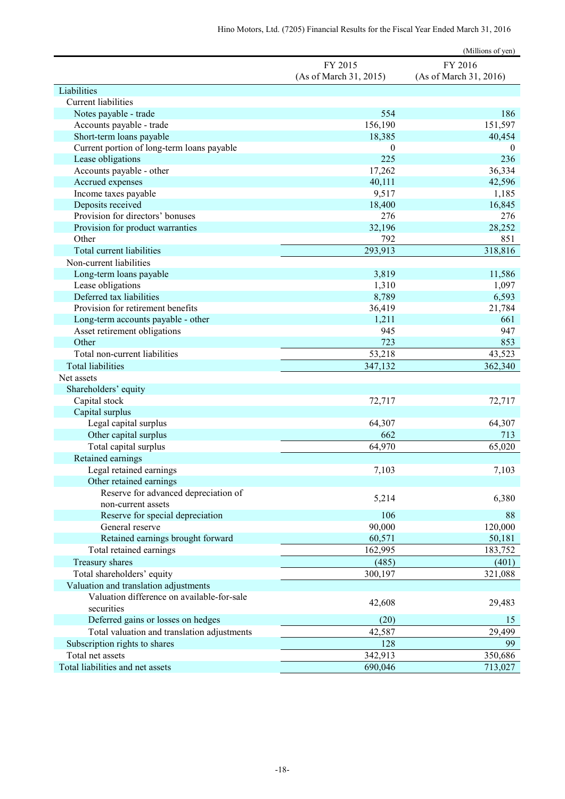|                                             |                        | (Millions of yen)      |
|---------------------------------------------|------------------------|------------------------|
|                                             | FY 2015                | FY 2016                |
|                                             | (As of March 31, 2015) | (As of March 31, 2016) |
| Liabilities                                 |                        |                        |
| <b>Current liabilities</b>                  |                        |                        |
| Notes payable - trade                       | 554                    | 186                    |
| Accounts payable - trade                    | 156,190                | 151,597                |
| Short-term loans payable                    | 18,385                 | 40,454                 |
| Current portion of long-term loans payable  | $\theta$               | $\overline{0}$         |
| Lease obligations                           | 225                    | 236                    |
| Accounts payable - other                    | 17,262                 | 36,334                 |
| Accrued expenses                            | 40,111                 | 42,596                 |
| Income taxes payable                        | 9,517                  | 1,185                  |
| Deposits received                           | 18,400                 | 16,845                 |
| Provision for directors' bonuses            | 276                    | 276                    |
| Provision for product warranties            | 32,196                 | 28,252                 |
| Other                                       | 792                    | 851                    |
| <b>Total current liabilities</b>            | 293,913                | 318,816                |
| Non-current liabilities                     |                        |                        |
| Long-term loans payable                     | 3,819                  | 11,586                 |
| Lease obligations                           | 1,310                  | 1,097                  |
| Deferred tax liabilities                    | 8,789                  | 6,593                  |
| Provision for retirement benefits           | 36,419                 | 21,784                 |
| Long-term accounts payable - other          | 1,211                  | 661                    |
| Asset retirement obligations                | 945                    | 947                    |
| Other                                       | 723                    | 853                    |
| Total non-current liabilities               | 53,218                 | 43,523                 |
| <b>Total liabilities</b>                    | 347,132                | 362,340                |
| Net assets                                  |                        |                        |
| Shareholders' equity                        |                        |                        |
| Capital stock                               | 72,717                 | 72,717                 |
| Capital surplus                             |                        |                        |
| Legal capital surplus                       | 64,307                 | 64,307                 |
| Other capital surplus                       | 662                    | 713                    |
| Total capital surplus                       | 64,970                 | 65,020                 |
| Retained earnings                           |                        |                        |
| Legal retained earnings                     | 7,103                  | 7,103                  |
| Other retained earnings                     |                        |                        |
| Reserve for advanced depreciation of        | 5,214                  | 6,380                  |
| non-current assets                          |                        |                        |
| Reserve for special depreciation            | 106                    | 88                     |
| General reserve                             | 90,000                 | 120,000                |
| Retained earnings brought forward           | 60,571                 | 50,181                 |
| Total retained earnings                     | 162,995                | 183,752                |
| Treasury shares                             | (485)                  | (401)                  |
| Total shareholders' equity                  | 300,197                | 321,088                |
| Valuation and translation adjustments       |                        |                        |
| Valuation difference on available-for-sale  | 42,608                 | 29,483                 |
| securities                                  |                        |                        |
| Deferred gains or losses on hedges          | (20)                   | 15                     |
| Total valuation and translation adjustments | 42,587                 | 29,499                 |
| Subscription rights to shares               | 128                    | 99                     |
| Total net assets                            | 342,913                | 350,686                |
| Total liabilities and net assets            | 690,046                | 713,027                |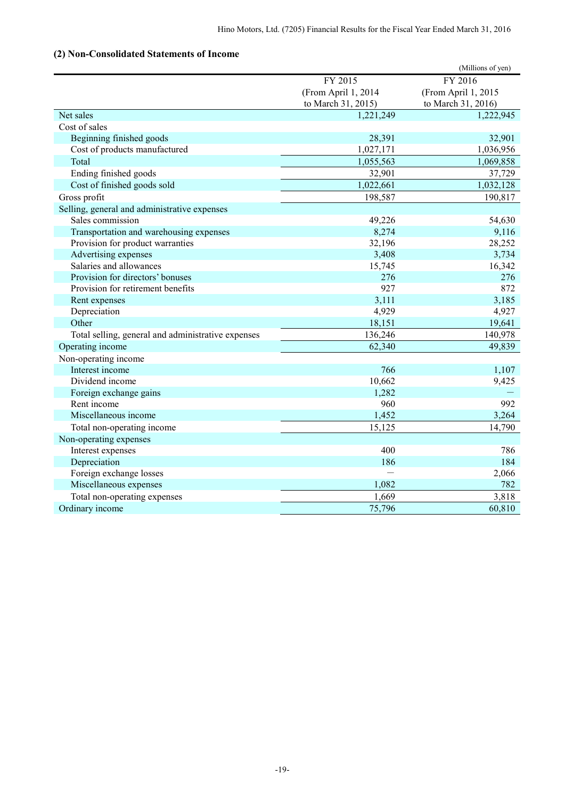# **(2) Non-Consolidated Statements of Income**

| FY 2015<br>FY 2016<br>(From April 1, 2014<br>(From April 1, 2015<br>to March 31, 2015)<br>to March 31, 2016)<br>Net sales<br>1,221,249<br>1,222,945<br>Cost of sales<br>Beginning finished goods<br>28,391<br>32,901<br>Cost of products manufactured<br>1,036,956<br>1,027,171<br>1,055,563<br>1,069,858<br>Total<br>Ending finished goods<br>37,729<br>32,901<br>Cost of finished goods sold<br>1,022,661<br>1,032,128<br>Gross profit<br>198,587<br>190,817<br>Selling, general and administrative expenses<br>Sales commission<br>49,226<br>54,630<br>Transportation and warehousing expenses<br>8,274<br>9,116<br>32,196<br>28,252<br>Provision for product warranties<br>3,408<br>3,734<br>Advertising expenses<br>Salaries and allowances<br>15,745<br>16,342<br>Provision for directors' bonuses<br>276<br>276<br>927<br>872<br>Provision for retirement benefits<br>3,111<br>3,185<br>Rent expenses<br>4,929<br>4,927<br>Depreciation<br>Other<br>19,641<br>18,151<br>140,978<br>136,246<br>Total selling, general and administrative expenses<br>62,340<br>49,839<br>Operating income<br>Non-operating income<br>Interest income<br>766<br>1,107<br>10,662<br>Dividend income<br>9,425<br>Foreign exchange gains<br>1,282<br>Rent income<br>960<br>992<br>Miscellaneous income<br>1,452<br>3,264<br>Total non-operating income<br>15,125<br>14,790<br>Non-operating expenses<br>400<br>Interest expenses<br>786<br>Depreciation<br>186<br>184<br>Foreign exchange losses<br>2,066<br>Miscellaneous expenses<br>1,082<br>782<br>3,818<br>Total non-operating expenses<br>1,669<br>Ordinary income<br>60,810<br>75,796 |  | (Millions of yen) |
|--------------------------------------------------------------------------------------------------------------------------------------------------------------------------------------------------------------------------------------------------------------------------------------------------------------------------------------------------------------------------------------------------------------------------------------------------------------------------------------------------------------------------------------------------------------------------------------------------------------------------------------------------------------------------------------------------------------------------------------------------------------------------------------------------------------------------------------------------------------------------------------------------------------------------------------------------------------------------------------------------------------------------------------------------------------------------------------------------------------------------------------------------------------------------------------------------------------------------------------------------------------------------------------------------------------------------------------------------------------------------------------------------------------------------------------------------------------------------------------------------------------------------------------------------------------------------------------------------------------------------------|--|-------------------|
|                                                                                                                                                                                                                                                                                                                                                                                                                                                                                                                                                                                                                                                                                                                                                                                                                                                                                                                                                                                                                                                                                                                                                                                                                                                                                                                                                                                                                                                                                                                                                                                                                                |  |                   |
|                                                                                                                                                                                                                                                                                                                                                                                                                                                                                                                                                                                                                                                                                                                                                                                                                                                                                                                                                                                                                                                                                                                                                                                                                                                                                                                                                                                                                                                                                                                                                                                                                                |  |                   |
|                                                                                                                                                                                                                                                                                                                                                                                                                                                                                                                                                                                                                                                                                                                                                                                                                                                                                                                                                                                                                                                                                                                                                                                                                                                                                                                                                                                                                                                                                                                                                                                                                                |  |                   |
|                                                                                                                                                                                                                                                                                                                                                                                                                                                                                                                                                                                                                                                                                                                                                                                                                                                                                                                                                                                                                                                                                                                                                                                                                                                                                                                                                                                                                                                                                                                                                                                                                                |  |                   |
|                                                                                                                                                                                                                                                                                                                                                                                                                                                                                                                                                                                                                                                                                                                                                                                                                                                                                                                                                                                                                                                                                                                                                                                                                                                                                                                                                                                                                                                                                                                                                                                                                                |  |                   |
|                                                                                                                                                                                                                                                                                                                                                                                                                                                                                                                                                                                                                                                                                                                                                                                                                                                                                                                                                                                                                                                                                                                                                                                                                                                                                                                                                                                                                                                                                                                                                                                                                                |  |                   |
|                                                                                                                                                                                                                                                                                                                                                                                                                                                                                                                                                                                                                                                                                                                                                                                                                                                                                                                                                                                                                                                                                                                                                                                                                                                                                                                                                                                                                                                                                                                                                                                                                                |  |                   |
|                                                                                                                                                                                                                                                                                                                                                                                                                                                                                                                                                                                                                                                                                                                                                                                                                                                                                                                                                                                                                                                                                                                                                                                                                                                                                                                                                                                                                                                                                                                                                                                                                                |  |                   |
|                                                                                                                                                                                                                                                                                                                                                                                                                                                                                                                                                                                                                                                                                                                                                                                                                                                                                                                                                                                                                                                                                                                                                                                                                                                                                                                                                                                                                                                                                                                                                                                                                                |  |                   |
|                                                                                                                                                                                                                                                                                                                                                                                                                                                                                                                                                                                                                                                                                                                                                                                                                                                                                                                                                                                                                                                                                                                                                                                                                                                                                                                                                                                                                                                                                                                                                                                                                                |  |                   |
|                                                                                                                                                                                                                                                                                                                                                                                                                                                                                                                                                                                                                                                                                                                                                                                                                                                                                                                                                                                                                                                                                                                                                                                                                                                                                                                                                                                                                                                                                                                                                                                                                                |  |                   |
|                                                                                                                                                                                                                                                                                                                                                                                                                                                                                                                                                                                                                                                                                                                                                                                                                                                                                                                                                                                                                                                                                                                                                                                                                                                                                                                                                                                                                                                                                                                                                                                                                                |  |                   |
|                                                                                                                                                                                                                                                                                                                                                                                                                                                                                                                                                                                                                                                                                                                                                                                                                                                                                                                                                                                                                                                                                                                                                                                                                                                                                                                                                                                                                                                                                                                                                                                                                                |  |                   |
|                                                                                                                                                                                                                                                                                                                                                                                                                                                                                                                                                                                                                                                                                                                                                                                                                                                                                                                                                                                                                                                                                                                                                                                                                                                                                                                                                                                                                                                                                                                                                                                                                                |  |                   |
|                                                                                                                                                                                                                                                                                                                                                                                                                                                                                                                                                                                                                                                                                                                                                                                                                                                                                                                                                                                                                                                                                                                                                                                                                                                                                                                                                                                                                                                                                                                                                                                                                                |  |                   |
|                                                                                                                                                                                                                                                                                                                                                                                                                                                                                                                                                                                                                                                                                                                                                                                                                                                                                                                                                                                                                                                                                                                                                                                                                                                                                                                                                                                                                                                                                                                                                                                                                                |  |                   |
|                                                                                                                                                                                                                                                                                                                                                                                                                                                                                                                                                                                                                                                                                                                                                                                                                                                                                                                                                                                                                                                                                                                                                                                                                                                                                                                                                                                                                                                                                                                                                                                                                                |  |                   |
|                                                                                                                                                                                                                                                                                                                                                                                                                                                                                                                                                                                                                                                                                                                                                                                                                                                                                                                                                                                                                                                                                                                                                                                                                                                                                                                                                                                                                                                                                                                                                                                                                                |  |                   |
|                                                                                                                                                                                                                                                                                                                                                                                                                                                                                                                                                                                                                                                                                                                                                                                                                                                                                                                                                                                                                                                                                                                                                                                                                                                                                                                                                                                                                                                                                                                                                                                                                                |  |                   |
|                                                                                                                                                                                                                                                                                                                                                                                                                                                                                                                                                                                                                                                                                                                                                                                                                                                                                                                                                                                                                                                                                                                                                                                                                                                                                                                                                                                                                                                                                                                                                                                                                                |  |                   |
|                                                                                                                                                                                                                                                                                                                                                                                                                                                                                                                                                                                                                                                                                                                                                                                                                                                                                                                                                                                                                                                                                                                                                                                                                                                                                                                                                                                                                                                                                                                                                                                                                                |  |                   |
|                                                                                                                                                                                                                                                                                                                                                                                                                                                                                                                                                                                                                                                                                                                                                                                                                                                                                                                                                                                                                                                                                                                                                                                                                                                                                                                                                                                                                                                                                                                                                                                                                                |  |                   |
|                                                                                                                                                                                                                                                                                                                                                                                                                                                                                                                                                                                                                                                                                                                                                                                                                                                                                                                                                                                                                                                                                                                                                                                                                                                                                                                                                                                                                                                                                                                                                                                                                                |  |                   |
|                                                                                                                                                                                                                                                                                                                                                                                                                                                                                                                                                                                                                                                                                                                                                                                                                                                                                                                                                                                                                                                                                                                                                                                                                                                                                                                                                                                                                                                                                                                                                                                                                                |  |                   |
|                                                                                                                                                                                                                                                                                                                                                                                                                                                                                                                                                                                                                                                                                                                                                                                                                                                                                                                                                                                                                                                                                                                                                                                                                                                                                                                                                                                                                                                                                                                                                                                                                                |  |                   |
|                                                                                                                                                                                                                                                                                                                                                                                                                                                                                                                                                                                                                                                                                                                                                                                                                                                                                                                                                                                                                                                                                                                                                                                                                                                                                                                                                                                                                                                                                                                                                                                                                                |  |                   |
|                                                                                                                                                                                                                                                                                                                                                                                                                                                                                                                                                                                                                                                                                                                                                                                                                                                                                                                                                                                                                                                                                                                                                                                                                                                                                                                                                                                                                                                                                                                                                                                                                                |  |                   |
|                                                                                                                                                                                                                                                                                                                                                                                                                                                                                                                                                                                                                                                                                                                                                                                                                                                                                                                                                                                                                                                                                                                                                                                                                                                                                                                                                                                                                                                                                                                                                                                                                                |  |                   |
|                                                                                                                                                                                                                                                                                                                                                                                                                                                                                                                                                                                                                                                                                                                                                                                                                                                                                                                                                                                                                                                                                                                                                                                                                                                                                                                                                                                                                                                                                                                                                                                                                                |  |                   |
|                                                                                                                                                                                                                                                                                                                                                                                                                                                                                                                                                                                                                                                                                                                                                                                                                                                                                                                                                                                                                                                                                                                                                                                                                                                                                                                                                                                                                                                                                                                                                                                                                                |  |                   |
|                                                                                                                                                                                                                                                                                                                                                                                                                                                                                                                                                                                                                                                                                                                                                                                                                                                                                                                                                                                                                                                                                                                                                                                                                                                                                                                                                                                                                                                                                                                                                                                                                                |  |                   |
|                                                                                                                                                                                                                                                                                                                                                                                                                                                                                                                                                                                                                                                                                                                                                                                                                                                                                                                                                                                                                                                                                                                                                                                                                                                                                                                                                                                                                                                                                                                                                                                                                                |  |                   |
|                                                                                                                                                                                                                                                                                                                                                                                                                                                                                                                                                                                                                                                                                                                                                                                                                                                                                                                                                                                                                                                                                                                                                                                                                                                                                                                                                                                                                                                                                                                                                                                                                                |  |                   |
|                                                                                                                                                                                                                                                                                                                                                                                                                                                                                                                                                                                                                                                                                                                                                                                                                                                                                                                                                                                                                                                                                                                                                                                                                                                                                                                                                                                                                                                                                                                                                                                                                                |  |                   |
|                                                                                                                                                                                                                                                                                                                                                                                                                                                                                                                                                                                                                                                                                                                                                                                                                                                                                                                                                                                                                                                                                                                                                                                                                                                                                                                                                                                                                                                                                                                                                                                                                                |  |                   |
|                                                                                                                                                                                                                                                                                                                                                                                                                                                                                                                                                                                                                                                                                                                                                                                                                                                                                                                                                                                                                                                                                                                                                                                                                                                                                                                                                                                                                                                                                                                                                                                                                                |  |                   |
|                                                                                                                                                                                                                                                                                                                                                                                                                                                                                                                                                                                                                                                                                                                                                                                                                                                                                                                                                                                                                                                                                                                                                                                                                                                                                                                                                                                                                                                                                                                                                                                                                                |  |                   |
|                                                                                                                                                                                                                                                                                                                                                                                                                                                                                                                                                                                                                                                                                                                                                                                                                                                                                                                                                                                                                                                                                                                                                                                                                                                                                                                                                                                                                                                                                                                                                                                                                                |  |                   |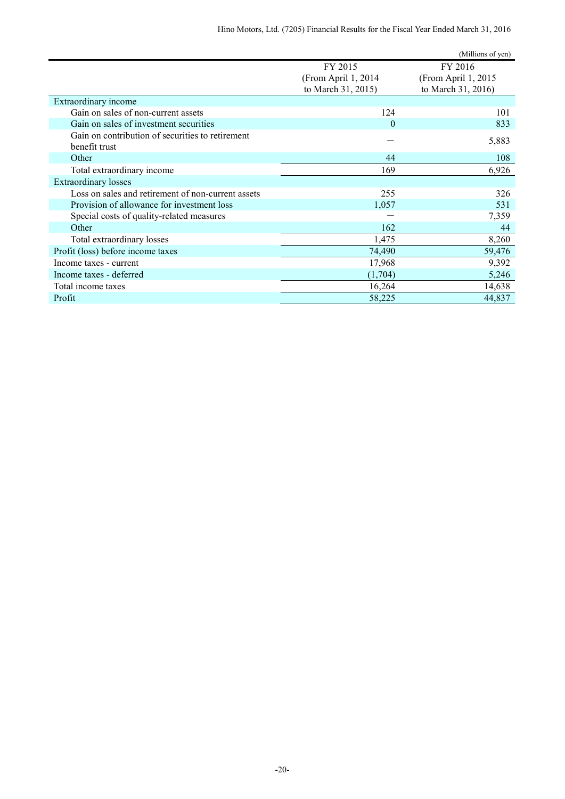| FY 2015<br>FY 2016<br>(From April 1, 2015<br>(From April 1, 2014)<br>to March 31, 2015)<br>to March 31, 2016)<br>Extraordinary income<br>Gain on sales of non-current assets<br>124<br>101<br>Gain on sales of investment securities<br>833<br>$\theta$<br>Gain on contribution of securities to retirement<br>5,883<br>benefit trust<br>Other<br>44<br>108<br>6,926<br>Total extraordinary income<br>169<br><b>Extraordinary losses</b><br>Loss on sales and retirement of non-current assets<br>255<br>326<br>Provision of allowance for investment loss<br>1,057<br>531 |                                           | (Millions of yen) |
|----------------------------------------------------------------------------------------------------------------------------------------------------------------------------------------------------------------------------------------------------------------------------------------------------------------------------------------------------------------------------------------------------------------------------------------------------------------------------------------------------------------------------------------------------------------------------|-------------------------------------------|-------------------|
|                                                                                                                                                                                                                                                                                                                                                                                                                                                                                                                                                                            |                                           |                   |
|                                                                                                                                                                                                                                                                                                                                                                                                                                                                                                                                                                            |                                           |                   |
|                                                                                                                                                                                                                                                                                                                                                                                                                                                                                                                                                                            |                                           |                   |
|                                                                                                                                                                                                                                                                                                                                                                                                                                                                                                                                                                            |                                           |                   |
|                                                                                                                                                                                                                                                                                                                                                                                                                                                                                                                                                                            |                                           |                   |
|                                                                                                                                                                                                                                                                                                                                                                                                                                                                                                                                                                            |                                           |                   |
|                                                                                                                                                                                                                                                                                                                                                                                                                                                                                                                                                                            |                                           |                   |
|                                                                                                                                                                                                                                                                                                                                                                                                                                                                                                                                                                            |                                           |                   |
|                                                                                                                                                                                                                                                                                                                                                                                                                                                                                                                                                                            |                                           |                   |
|                                                                                                                                                                                                                                                                                                                                                                                                                                                                                                                                                                            |                                           |                   |
|                                                                                                                                                                                                                                                                                                                                                                                                                                                                                                                                                                            |                                           |                   |
|                                                                                                                                                                                                                                                                                                                                                                                                                                                                                                                                                                            |                                           |                   |
|                                                                                                                                                                                                                                                                                                                                                                                                                                                                                                                                                                            |                                           |                   |
|                                                                                                                                                                                                                                                                                                                                                                                                                                                                                                                                                                            | Special costs of quality-related measures | 7,359             |
| 162<br>Other<br>44                                                                                                                                                                                                                                                                                                                                                                                                                                                                                                                                                         |                                           |                   |
| 8,260<br>1,475<br>Total extraordinary losses                                                                                                                                                                                                                                                                                                                                                                                                                                                                                                                               |                                           |                   |
| Profit (loss) before income taxes<br>74,490<br>59,476                                                                                                                                                                                                                                                                                                                                                                                                                                                                                                                      |                                           |                   |
| 9,392<br>17,968<br>Income taxes - current                                                                                                                                                                                                                                                                                                                                                                                                                                                                                                                                  |                                           |                   |
| 5,246<br>Income taxes - deferred<br>(1,704)                                                                                                                                                                                                                                                                                                                                                                                                                                                                                                                                |                                           |                   |
| 14,638<br>16,264<br>Total income taxes                                                                                                                                                                                                                                                                                                                                                                                                                                                                                                                                     |                                           |                   |
| 44,837<br>Profit<br>58,225                                                                                                                                                                                                                                                                                                                                                                                                                                                                                                                                                 |                                           |                   |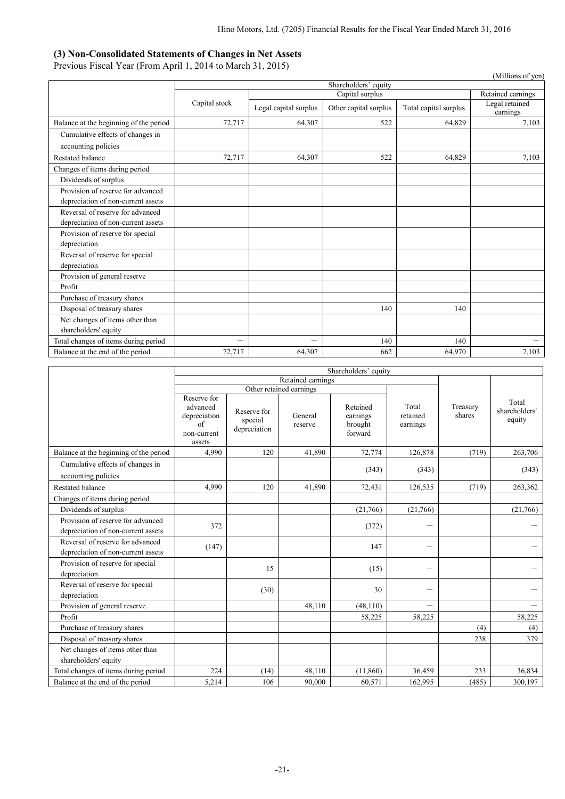### **(3) Non-Consolidated Statements of Changes in Net Assets**

Previous Fiscal Year (From April 1, 2014 to March 31, 2015)

| $\frac{1}{2}$                                                          |                          |                          |                       |                       | (Millions of yen)          |  |  |  |  |
|------------------------------------------------------------------------|--------------------------|--------------------------|-----------------------|-----------------------|----------------------------|--|--|--|--|
|                                                                        |                          | Shareholders' equity     |                       |                       |                            |  |  |  |  |
|                                                                        |                          | Capital surplus          |                       |                       |                            |  |  |  |  |
|                                                                        | Capital stock            | Legal capital surplus    | Other capital surplus | Total capital surplus | Legal retained<br>earnings |  |  |  |  |
| Balance at the beginning of the period                                 | 72,717                   | 64,307                   | 522                   | 64,829                | 7,103                      |  |  |  |  |
| Cumulative effects of changes in<br>accounting policies                |                          |                          |                       |                       |                            |  |  |  |  |
| Restated balance                                                       | 72,717                   | 64,307                   | 522                   | 64,829                | 7,103                      |  |  |  |  |
| Changes of items during period                                         |                          |                          |                       |                       |                            |  |  |  |  |
| Dividends of surplus                                                   |                          |                          |                       |                       |                            |  |  |  |  |
| Provision of reserve for advanced                                      |                          |                          |                       |                       |                            |  |  |  |  |
| depreciation of non-current assets                                     |                          |                          |                       |                       |                            |  |  |  |  |
| Reversal of reserve for advanced<br>depreciation of non-current assets |                          |                          |                       |                       |                            |  |  |  |  |
| Provision of reserve for special<br>depreciation                       |                          |                          |                       |                       |                            |  |  |  |  |
| Reversal of reserve for special<br>depreciation                        |                          |                          |                       |                       |                            |  |  |  |  |
| Provision of general reserve                                           |                          |                          |                       |                       |                            |  |  |  |  |
| Profit                                                                 |                          |                          |                       |                       |                            |  |  |  |  |
| Purchase of treasury shares                                            |                          |                          |                       |                       |                            |  |  |  |  |
| Disposal of treasury shares                                            |                          |                          | 140                   | 140                   |                            |  |  |  |  |
| Net changes of items other than<br>shareholders' equity                |                          |                          |                       |                       |                            |  |  |  |  |
| Total changes of items during period                                   | $\overline{\phantom{0}}$ | $\overline{\phantom{0}}$ | 140                   | 140                   |                            |  |  |  |  |
| Balance at the end of the period                                       | 72,717                   | 64,307                   | 662                   | 64,970                | 7,103                      |  |  |  |  |

|                                                                         | Shareholders' equity                                                   |                                        |                         |                                            |                               |                    |                                  |
|-------------------------------------------------------------------------|------------------------------------------------------------------------|----------------------------------------|-------------------------|--------------------------------------------|-------------------------------|--------------------|----------------------------------|
|                                                                         |                                                                        |                                        | Retained earnings       |                                            |                               |                    |                                  |
|                                                                         |                                                                        |                                        | Other retained earnings |                                            |                               |                    |                                  |
|                                                                         | Reserve for<br>advanced<br>depreciation<br>of<br>non-current<br>assets | Reserve for<br>special<br>depreciation | General<br>reserve      | Retained<br>earnings<br>brought<br>forward | Total<br>retained<br>earnings | Treasury<br>shares | Total<br>shareholders'<br>equity |
| Balance at the beginning of the period                                  | 4,990                                                                  | 120                                    | 41.890                  | 72,774                                     | 126,878                       | (719)              | 263,706                          |
| Cumulative effects of changes in<br>accounting policies                 |                                                                        |                                        |                         | (343)                                      | (343)                         |                    | (343)                            |
| Restated balance                                                        | 4.990                                                                  | 120                                    | 41,890                  | 72,431                                     | 126,535                       | (719)              | 263,362                          |
| Changes of items during period                                          |                                                                        |                                        |                         |                                            |                               |                    |                                  |
| Dividends of surplus                                                    |                                                                        |                                        |                         | (21,766)                                   | (21,766)                      |                    | (21,766)                         |
| Provision of reserve for advanced<br>depreciation of non-current assets | 372                                                                    |                                        |                         | (372)                                      |                               |                    |                                  |
| Reversal of reserve for advanced<br>depreciation of non-current assets  | (147)                                                                  |                                        |                         | 147                                        |                               |                    |                                  |
| Provision of reserve for special<br>depreciation                        |                                                                        | 15                                     |                         | (15)                                       | -                             |                    |                                  |
| Reversal of reserve for special<br>depreciation                         |                                                                        | (30)                                   |                         | 30                                         |                               |                    |                                  |
| Provision of general reserve                                            |                                                                        |                                        | 48,110                  | (48, 110)                                  |                               |                    |                                  |
| Profit                                                                  |                                                                        |                                        |                         | 58,225                                     | 58,225                        |                    | 58,225                           |
| Purchase of treasury shares                                             |                                                                        |                                        |                         |                                            |                               | (4)                | (4)                              |
| Disposal of treasury shares                                             |                                                                        |                                        |                         |                                            |                               | 238                | 379                              |
| Net changes of items other than                                         |                                                                        |                                        |                         |                                            |                               |                    |                                  |
| shareholders' equity                                                    |                                                                        |                                        |                         |                                            |                               |                    |                                  |
| Total changes of items during period                                    | 224                                                                    | (14)                                   | 48,110                  | (11, 860)                                  | 36,459                        | 233                | 36,834                           |
| Balance at the end of the period                                        | 5,214                                                                  | 106                                    | 90,000                  | 60,571                                     | 162,995                       | (485)              | 300,197                          |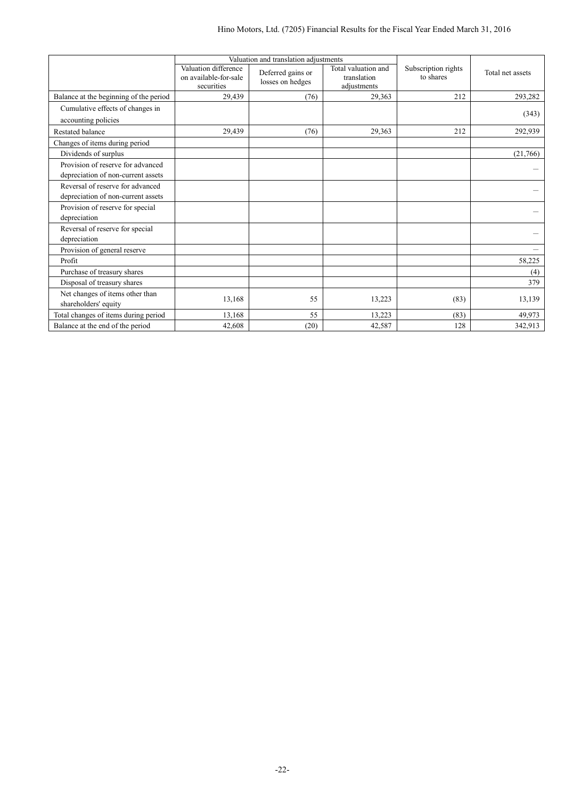|                                                                         |                                                             | Valuation and translation adjustments |                                                   |                                  |                  |
|-------------------------------------------------------------------------|-------------------------------------------------------------|---------------------------------------|---------------------------------------------------|----------------------------------|------------------|
|                                                                         | Valuation difference<br>on available-for-sale<br>securities | Deferred gains or<br>losses on hedges | Total valuation and<br>translation<br>adjustments | Subscription rights<br>to shares | Total net assets |
| Balance at the beginning of the period                                  | 29,439                                                      | (76)                                  | 29,363                                            | 212                              | 293,282          |
| Cumulative effects of changes in                                        |                                                             |                                       |                                                   |                                  |                  |
| accounting policies                                                     |                                                             |                                       |                                                   |                                  | (343)            |
| Restated balance                                                        | 29,439                                                      | (76)                                  | 29,363                                            | 212                              | 292,939          |
| Changes of items during period                                          |                                                             |                                       |                                                   |                                  |                  |
| Dividends of surplus                                                    |                                                             |                                       |                                                   |                                  | (21,766)         |
| Provision of reserve for advanced<br>depreciation of non-current assets |                                                             |                                       |                                                   |                                  |                  |
| Reversal of reserve for advanced<br>depreciation of non-current assets  |                                                             |                                       |                                                   |                                  |                  |
| Provision of reserve for special<br>depreciation                        |                                                             |                                       |                                                   |                                  |                  |
| Reversal of reserve for special<br>depreciation                         |                                                             |                                       |                                                   |                                  |                  |
| Provision of general reserve                                            |                                                             |                                       |                                                   |                                  |                  |
| Profit                                                                  |                                                             |                                       |                                                   |                                  | 58,225           |
| Purchase of treasury shares                                             |                                                             |                                       |                                                   |                                  | (4)              |
| Disposal of treasury shares                                             |                                                             |                                       |                                                   |                                  | 379              |
| Net changes of items other than<br>shareholders' equity                 | 13,168                                                      | 55                                    | 13,223                                            | (83)                             | 13,139           |
| Total changes of items during period                                    | 13,168                                                      | 55                                    | 13,223                                            | (83)                             | 49,973           |
| Balance at the end of the period                                        | 42,608                                                      | (20)                                  | 42,587                                            | 128                              | 342,913          |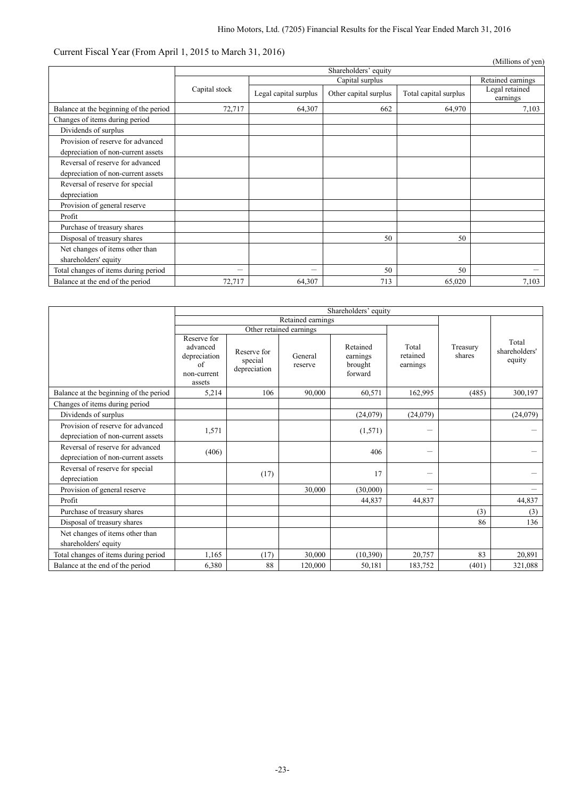# Current Fiscal Year (From April 1, 2015 to March 31, 2016)

| $\frac{1}{2}$                                                           |                      |                       |                       |                       | (Millions of yen)          |  |
|-------------------------------------------------------------------------|----------------------|-----------------------|-----------------------|-----------------------|----------------------------|--|
|                                                                         | Shareholders' equity |                       |                       |                       |                            |  |
|                                                                         |                      | Retained earnings     |                       |                       |                            |  |
|                                                                         | Capital stock        | Legal capital surplus | Other capital surplus | Total capital surplus | Legal retained<br>earnings |  |
| Balance at the beginning of the period                                  | 72,717               | 64,307                | 662                   | 64,970                | 7,103                      |  |
| Changes of items during period                                          |                      |                       |                       |                       |                            |  |
| Dividends of surplus                                                    |                      |                       |                       |                       |                            |  |
| Provision of reserve for advanced<br>depreciation of non-current assets |                      |                       |                       |                       |                            |  |
| Reversal of reserve for advanced<br>depreciation of non-current assets  |                      |                       |                       |                       |                            |  |
| Reversal of reserve for special<br>depreciation                         |                      |                       |                       |                       |                            |  |
| Provision of general reserve                                            |                      |                       |                       |                       |                            |  |
| Profit                                                                  |                      |                       |                       |                       |                            |  |
| Purchase of treasury shares                                             |                      |                       |                       |                       |                            |  |
| Disposal of treasury shares                                             |                      |                       | 50                    | 50                    |                            |  |
| Net changes of items other than                                         |                      |                       |                       |                       |                            |  |
| shareholders' equity                                                    |                      |                       |                       |                       |                            |  |
| Total changes of items during period                                    |                      |                       | 50                    | 50                    |                            |  |
| Balance at the end of the period                                        | 72,717               | 64,307                | 713                   | 65,020                | 7,103                      |  |

|                                                                         | Shareholders' equity                                                   |                                        |                    |                                            |                               |                    |                                  |
|-------------------------------------------------------------------------|------------------------------------------------------------------------|----------------------------------------|--------------------|--------------------------------------------|-------------------------------|--------------------|----------------------------------|
|                                                                         | Retained earnings<br>Other retained earnings                           |                                        |                    |                                            |                               |                    |                                  |
|                                                                         |                                                                        |                                        |                    |                                            |                               |                    |                                  |
|                                                                         | Reserve for<br>advanced<br>depreciation<br>of<br>non-current<br>assets | Reserve for<br>special<br>depreciation | General<br>reserve | Retained<br>earnings<br>brought<br>forward | Total<br>retained<br>earnings | Treasury<br>shares | Total<br>shareholders'<br>equity |
| Balance at the beginning of the period                                  | 5,214                                                                  | 106                                    | 90,000             | 60,571                                     | 162,995                       | (485)              | 300,197                          |
| Changes of items during period                                          |                                                                        |                                        |                    |                                            |                               |                    |                                  |
| Dividends of surplus                                                    |                                                                        |                                        |                    | (24,079)                                   | (24,079)                      |                    | (24,079)                         |
| Provision of reserve for advanced<br>depreciation of non-current assets | 1,571                                                                  |                                        |                    | (1,571)                                    |                               |                    |                                  |
| Reversal of reserve for advanced<br>depreciation of non-current assets  | (406)                                                                  |                                        |                    | 406                                        |                               |                    |                                  |
| Reversal of reserve for special<br>depreciation                         |                                                                        | (17)                                   |                    | 17                                         |                               |                    |                                  |
| Provision of general reserve                                            |                                                                        |                                        | 30,000             | (30,000)                                   | $\overline{\phantom{m}}$      |                    |                                  |
| Profit                                                                  |                                                                        |                                        |                    | 44,837                                     | 44,837                        |                    | 44,837                           |
| Purchase of treasury shares                                             |                                                                        |                                        |                    |                                            |                               | (3)                | (3)                              |
| Disposal of treasury shares                                             |                                                                        |                                        |                    |                                            |                               | 86                 | 136                              |
| Net changes of items other than<br>shareholders' equity                 |                                                                        |                                        |                    |                                            |                               |                    |                                  |
| Total changes of items during period                                    | 1,165                                                                  | (17)                                   | 30,000             | (10,390)                                   | 20,757                        | 83                 | 20,891                           |
| Balance at the end of the period                                        | 6,380                                                                  | 88                                     | 120,000            | 50,181                                     | 183,752                       | (401)              | 321,088                          |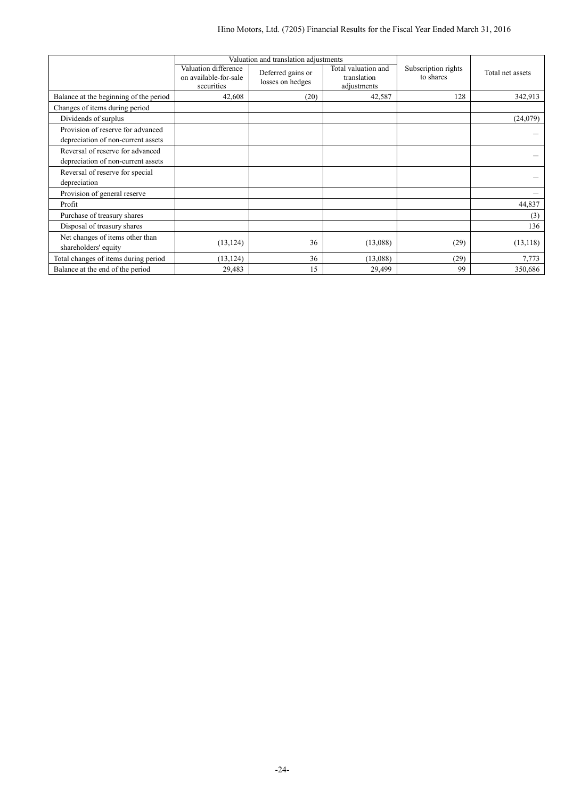|                                                                         |                                                             | Valuation and translation adjustments                                                      |          | Total net assets |                                  |
|-------------------------------------------------------------------------|-------------------------------------------------------------|--------------------------------------------------------------------------------------------|----------|------------------|----------------------------------|
|                                                                         | Valuation difference<br>on available-for-sale<br>securities | Total valuation and<br>Deferred gains or<br>translation<br>losses on hedges<br>adjustments |          |                  | Subscription rights<br>to shares |
| Balance at the beginning of the period                                  | 42,608                                                      | (20)                                                                                       | 42,587   | 128              | 342,913                          |
| Changes of items during period                                          |                                                             |                                                                                            |          |                  |                                  |
| Dividends of surplus                                                    |                                                             |                                                                                            |          |                  | (24,079)                         |
| Provision of reserve for advanced<br>depreciation of non-current assets |                                                             |                                                                                            |          |                  |                                  |
| Reversal of reserve for advanced<br>depreciation of non-current assets  |                                                             |                                                                                            |          |                  |                                  |
| Reversal of reserve for special<br>depreciation                         |                                                             |                                                                                            |          |                  |                                  |
| Provision of general reserve                                            |                                                             |                                                                                            |          |                  |                                  |
| Profit                                                                  |                                                             |                                                                                            |          |                  | 44,837                           |
| Purchase of treasury shares                                             |                                                             |                                                                                            |          |                  | (3)                              |
| Disposal of treasury shares                                             |                                                             |                                                                                            |          |                  | 136                              |
| Net changes of items other than<br>shareholders' equity                 | (13, 124)                                                   | 36                                                                                         | (13,088) | (29)             | (13, 118)                        |
| Total changes of items during period                                    | (13, 124)                                                   | 36                                                                                         | (13,088) | (29)             | 7,773                            |
| Balance at the end of the period                                        | 29,483                                                      | 15                                                                                         | 29,499   | 99               | 350,686                          |